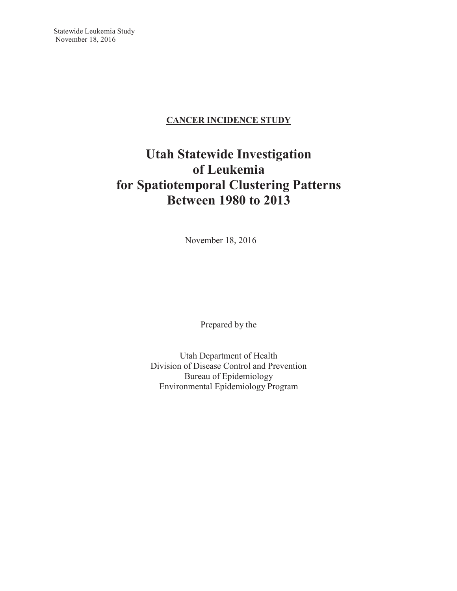# **CANCER INCIDENCE STUDY**

# **Utah Statewide Investigation of Leukemia for Spatiotemporal Clustering Patterns Between 1980 to 2013**

November 18, 2016

Prepared by the

Utah Department of Health Division of Disease Control and Prevention Bureau of Epidemiology Environmental Epidemiology Program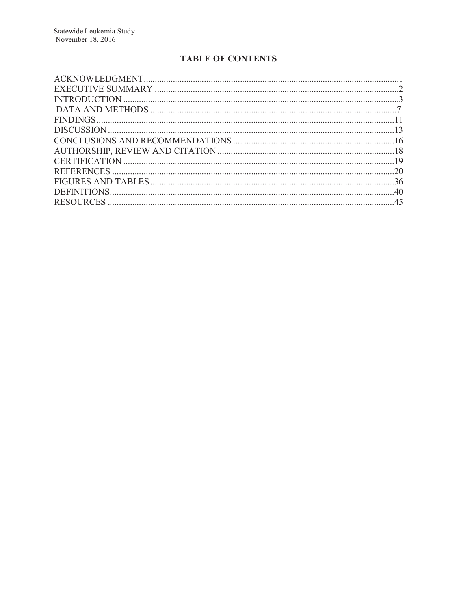# **TABLE OF CONTENTS**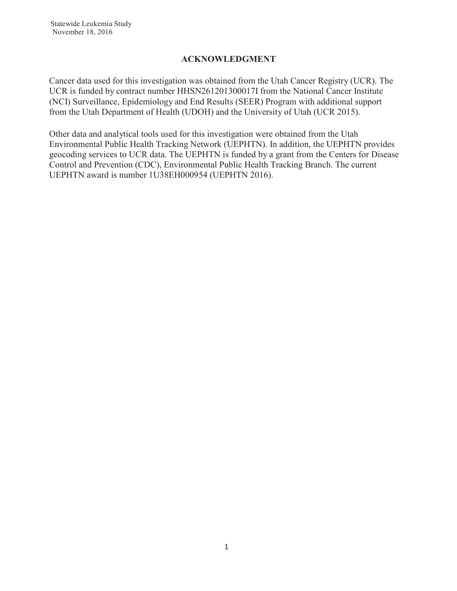## **ACKNOWLEDGMENT**

Cancer data used for this investigation was obtained from the Utah Cancer Registry (UCR). The UCR is funded by contract number HHSN261201300017I from the National Cancer Institute (NCI) Surveillance, Epidemiology and End Results (SEER) Program with additional support from the Utah Department of Health (UDOH) and the University of Utah (UCR 2015).

Other data and analytical tools used for this investigation were obtained from the Utah Environmental Public Health Tracking Network (UEPHTN). In addition, the UEPHTN provides geocoding services to UCR data. The UEPHTN is funded by a grant from the Centers for Disease Control and Prevention (CDC), Environmental Public Health Tracking Branch. The current UEPHTN award is number 1U38EH000954 (UEPHTN 2016).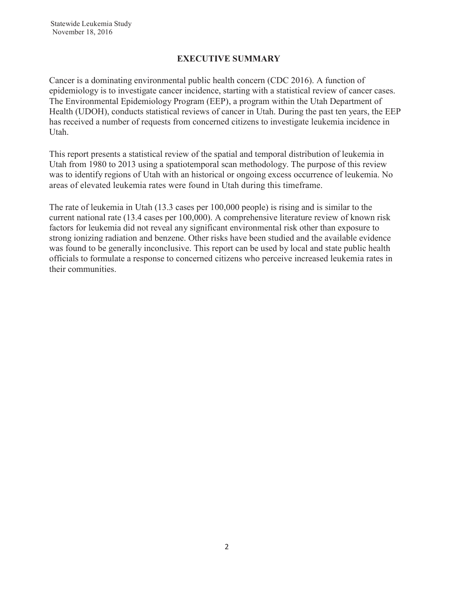## **EXECUTIVE SUMMARY**

Cancer is a dominating environmental public health concern (CDC 2016). A function of epidemiology is to investigate cancer incidence, starting with a statistical review of cancer cases. The Environmental Epidemiology Program (EEP), a program within the Utah Department of Health (UDOH), conducts statistical reviews of cancer in Utah. During the past ten years, the EEP has received a number of requests from concerned citizens to investigate leukemia incidence in Utah.

This report presents a statistical review of the spatial and temporal distribution of leukemia in Utah from 1980 to 2013 using a spatiotemporal scan methodology. The purpose of this review was to identify regions of Utah with an historical or ongoing excess occurrence of leukemia. No areas of elevated leukemia rates were found in Utah during this timeframe.

The rate of leukemia in Utah (13.3 cases per 100,000 people) is rising and is similar to the current national rate (13.4 cases per 100,000). A comprehensive literature review of known risk factors for leukemia did not reveal any significant environmental risk other than exposure to strong ionizing radiation and benzene. Other risks have been studied and the available evidence was found to be generally inconclusive. This report can be used by local and state public health officials to formulate a response to concerned citizens who perceive increased leukemia rates in their communities.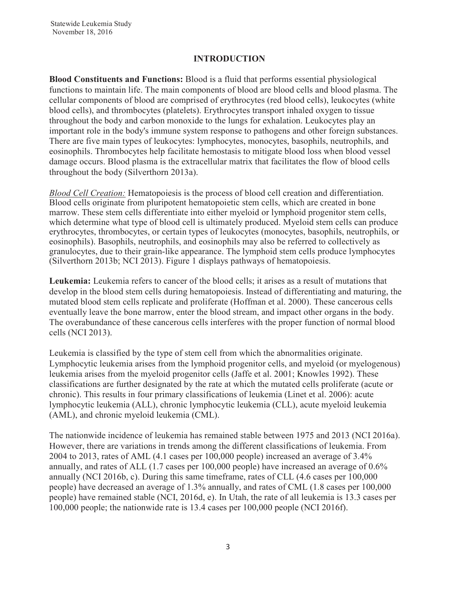### **INTRODUCTION**

**Blood Constituents and Functions:** Blood is a fluid that performs essential physiological functions to maintain life. The main components of blood are blood cells and blood plasma. The cellular components of blood are comprised of erythrocytes (red blood cells), leukocytes (white blood cells), and thrombocytes (platelets). Erythrocytes transport inhaled oxygen to tissue throughout the body and carbon monoxide to the lungs for exhalation. Leukocytes play an important role in the body's immune system response to pathogens and other foreign substances. There are five main types of leukocytes: lymphocytes, monocytes, basophils, neutrophils, and eosinophils. Thrombocytes help facilitate hemostasis to mitigate blood loss when blood vessel damage occurs. Blood plasma is the extracellular matrix that facilitates the flow of blood cells throughout the body (Silverthorn 2013a).

*Blood Cell Creation:* Hematopoiesis is the process of blood cell creation and differentiation. Blood cells originate from pluripotent hematopoietic stem cells, which are created in bone marrow. These stem cells differentiate into either myeloid or lymphoid progenitor stem cells, which determine what type of blood cell is ultimately produced. Myeloid stem cells can produce erythrocytes, thrombocytes, or certain types of leukocytes (monocytes, basophils, neutrophils, or eosinophils). Basophils, neutrophils, and eosinophils may also be referred to collectively as granulocytes, due to their grain-like appearance. The lymphoid stem cells produce lymphocytes (Silverthorn 2013b; NCI 2013). Figure 1 displays pathways of hematopoiesis.

**Leukemia:** Leukemia refers to cancer of the blood cells; it arises as a result of mutations that develop in the blood stem cells during hematopoiesis. Instead of differentiating and maturing, the mutated blood stem cells replicate and proliferate (Hoffman et al. 2000). These cancerous cells eventually leave the bone marrow, enter the blood stream, and impact other organs in the body. The overabundance of these cancerous cells interferes with the proper function of normal blood cells (NCI 2013).

Leukemia is classified by the type of stem cell from which the abnormalities originate. Lymphocytic leukemia arises from the lymphoid progenitor cells, and myeloid (or myelogenous) leukemia arises from the myeloid progenitor cells (Jaffe et al. 2001; Knowles 1992). These classifications are further designated by the rate at which the mutated cells proliferate (acute or chronic). This results in four primary classifications of leukemia (Linet et al. 2006): acute lymphocytic leukemia (ALL), chronic lymphocytic leukemia (CLL), acute myeloid leukemia (AML), and chronic myeloid leukemia (CML).

The nationwide incidence of leukemia has remained stable between 1975 and 2013 (NCI 2016a). However, there are variations in trends among the different classifications of leukemia. From 2004 to 2013, rates of AML (4.1 cases per 100,000 people) increased an average of 3.4% annually, and rates of ALL (1.7 cases per 100,000 people) have increased an average of 0.6% annually (NCI 2016b, c). During this same timeframe, rates of CLL (4.6 cases per 100,000 people) have decreased an average of 1.3% annually, and rates of CML (1.8 cases per 100,000 people) have remained stable (NCI, 2016d, e). In Utah, the rate of all leukemia is 13.3 cases per 100,000 people; the nationwide rate is 13.4 cases per 100,000 people (NCI 2016f).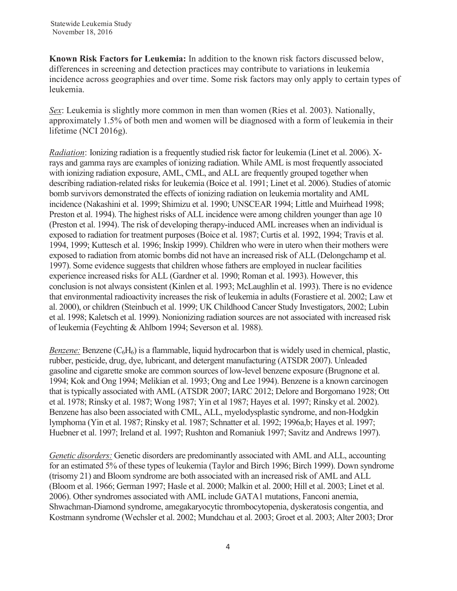**Known Risk Factors for Leukemia:** In addition to the known risk factors discussed below, differences in screening and detection practices may contribute to variations in leukemia incidence across geographies and over time. Some risk factors may only apply to certain types of leukemia.

*Sex*: Leukemia is slightly more common in men than women (Ries et al. 2003). Nationally, approximately 1.5% of both men and women will be diagnosed with a form of leukemia in their lifetime (NCI 2016g).

*Radiation*: Ionizing radiation is a frequently studied risk factor for leukemia (Linet et al. 2006). Xrays and gamma rays are examples of ionizing radiation. While AML is most frequently associated with ionizing radiation exposure, AML, CML, and ALL are frequently grouped together when describing radiation-related risks for leukemia (Boice et al. 1991; Linet et al. 2006). Studies of atomic bomb survivors demonstrated the effects of ionizing radiation on leukemia mortality and AML incidence (Nakashini et al. 1999; Shimizu et al. 1990; UNSCEAR 1994; Little and Muirhead 1998; Preston et al. 1994). The highest risks of ALL incidence were among children younger than age 10 (Preston et al. 1994). The risk of developing therapy-induced AML increases when an individual is exposed to radiation for treatment purposes (Boice et al. 1987; Curtis et al. 1992, 1994; Travis et al. 1994, 1999; Kuttesch et al. 1996; Inskip 1999). Children who were in utero when their mothers were exposed to radiation from atomic bombs did not have an increased risk of ALL (Delongchamp et al. 1997). Some evidence suggests that children whose fathers are employed in nuclear facilities experience increased risks for ALL (Gardner et al. 1990; Roman et al. 1993). However, this conclusion is not always consistent (Kinlen et al. 1993; McLaughlin et al. 1993). There is no evidence that environmental radioactivity increases the risk of leukemia in adults (Forastiere et al. 2002; Law et al. 2000), or children (Steinbuch et al. 1999; UK Childhood Cancer Study Investigators, 2002; Lubin et al. 1998; Kaletsch et al. 1999). Nonionizing radiation sources are not associated with increased risk of leukemia (Feychting & Ahlbom 1994; Severson et al. 1988).

*Benzene:* Benzene  $(C_6H_6)$  is a flammable, liquid hydrocarbon that is widely used in chemical, plastic, rubber, pesticide, drug, dye, lubricant, and detergent manufacturing (ATSDR 2007). Unleaded gasoline and cigarette smoke are common sources of low-level benzene exposure (Brugnone et al. 1994; Kok and Ong 1994; Melikian et al. 1993; Ong and Lee 1994). Benzene is a known carcinogen that is typically associated with AML (ATSDR 2007; IARC 2012; Delore and Borgomano 1928; Ott et al. 1978; Rinsky et al. 1987; Wong 1987; Yin et al 1987; Hayes et al. 1997; Rinsky et al. 2002). Benzene has also been associated with CML, ALL, myelodysplastic syndrome, and non-Hodgkin lymphoma (Yin et al. 1987; Rinsky et al. 1987; Schnatter et al. 1992; 1996a,b; Hayes et al. 1997; Huebner et al. 1997; Ireland et al. 1997; Rushton and Romaniuk 1997; Savitz and Andrews 1997).

*Genetic disorders:* Genetic disorders are predominantly associated with AML and ALL, accounting for an estimated 5% of these types of leukemia (Taylor and Birch 1996; Birch 1999). Down syndrome (trisomy 21) and Bloom syndrome are both associated with an increased risk of AML and ALL (Bloom et al. 1966; German 1997; Hasle et al. 2000; Malkin et al. 2000; Hill et al. 2003; Linet et al. 2006). Other syndromes associated with AML include GATA1 mutations, Fanconi anemia, Shwachman-Diamond syndrome, amegakaryocytic thrombocytopenia, dyskeratosis congentia, and Kostmann syndrome (Wechsler et al. 2002; Mundchau et al. 2003; Groet et al. 2003; Alter 2003; Dror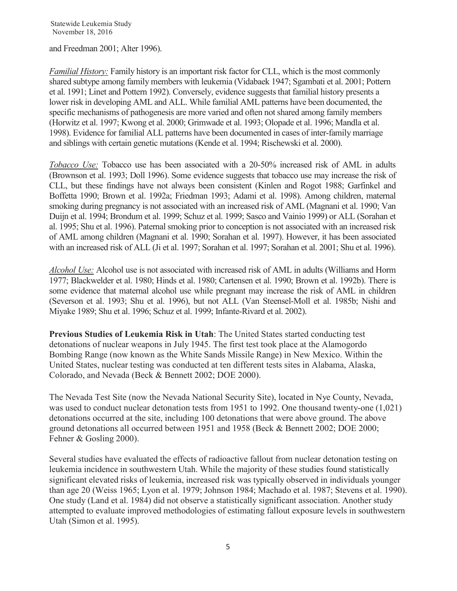and Freedman 2001; Alter 1996).

*Familial History:* Family history is an important risk factor for CLL, which is the most commonly shared subtype among family members with leukemia (Vidabaek 1947; Sgambati et al. 2001; Pottern et al. 1991; Linet and Pottern 1992). Conversely, evidence suggests that familial history presents a lower risk in developing AML and ALL. While familial AML patterns have been documented, the specific mechanisms of pathogenesis are more varied and often not shared among family members (Horwitz et al. 1997; Kwong et al. 2000; Grimwade et al. 1993; Olopade et al. 1996; Mandla et al. 1998). Evidence for familial ALL patterns have been documented in cases of inter-family marriage and siblings with certain genetic mutations (Kende et al. 1994; Rischewski et al. 2000).

*Tobacco Use:* Tobacco use has been associated with a 20-50% increased risk of AML in adults (Brownson et al. 1993; Doll 1996). Some evidence suggests that tobacco use may increase the risk of CLL, but these findings have not always been consistent (Kinlen and Rogot 1988; Garfinkel and Boffetta 1990; Brown et al. 1992a; Friedman 1993; Adami et al. 1998). Among children, maternal smoking during pregnancy is not associated with an increased risk of AML (Magnani et al. 1990; Van Duijn et al. 1994; Brondum et al. 1999; Schuz et al. 1999; Sasco and Vainio 1999) or ALL (Sorahan et al. 1995; Shu et al. 1996). Paternal smoking prior to conception is not associated with an increased risk of AML among children (Magnani et al. 1990; Sorahan et al. 1997). However, it has been associated with an increased risk of ALL (Ji et al. 1997; Sorahan et al. 1997; Sorahan et al. 2001; Shu et al. 1996).

*Alcohol Use:* Alcohol use is not associated with increased risk of AML in adults (Williams and Horm 1977; Blackwelder et al. 1980; Hinds et al. 1980; Cartensen et al. 1990; Brown et al. 1992b). There is some evidence that maternal alcohol use while pregnant may increase the risk of AML in children (Severson et al. 1993; Shu et al. 1996), but not ALL (Van Steensel-Moll et al. 1985b; Nishi and Miyake 1989; Shu et al. 1996; Schuz et al. 1999; Infante-Rivard et al. 2002).

**Previous Studies of Leukemia Risk in Utah**: The United States started conducting test detonations of nuclear weapons in July 1945. The first test took place at the Alamogordo Bombing Range (now known as the White Sands Missile Range) in New Mexico. Within the United States, nuclear testing was conducted at ten different tests sites in Alabama, Alaska, Colorado, and Nevada (Beck & Bennett 2002; DOE 2000).

The Nevada Test Site (now the Nevada National Security Site), located in Nye County, Nevada, was used to conduct nuclear detonation tests from 1951 to 1992. One thousand twenty-one (1,021) detonations occurred at the site, including 100 detonations that were above ground. The above ground detonations all occurred between 1951 and 1958 (Beck & Bennett 2002; DOE 2000; Fehner & Gosling 2000).

Several studies have evaluated the effects of radioactive fallout from nuclear detonation testing on leukemia incidence in southwestern Utah. While the majority of these studies found statistically significant elevated risks of leukemia, increased risk was typically observed in individuals younger than age 20 (Weiss 1965; Lyon et al. 1979; Johnson 1984; Machado et al. 1987; Stevens et al. 1990). One study (Land et al. 1984) did not observe a statistically significant association. Another study attempted to evaluate improved methodologies of estimating fallout exposure levels in southwestern Utah (Simon et al. 1995).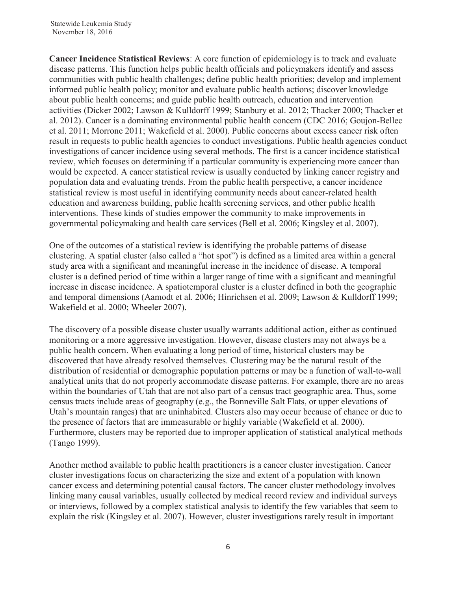**Cancer Incidence Statistical Reviews**: A core function of epidemiology is to track and evaluate disease patterns. This function helps public health officials and policymakers identify and assess communities with public health challenges; define public health priorities; develop and implement informed public health policy; monitor and evaluate public health actions; discover knowledge about public health concerns; and guide public health outreach, education and intervention activities (Dicker 2002; Lawson & Kulldorff 1999; Stanbury et al. 2012; Thacker 2000; Thacker et al. 2012). Cancer is a dominating environmental public health concern (CDC 2016; Goujon-Bellec et al. 2011; Morrone 2011; Wakefield et al. 2000). Public concerns about excess cancer risk often result in requests to public health agencies to conduct investigations. Public health agencies conduct investigations of cancer incidence using several methods. The first is a cancer incidence statistical review, which focuses on determining if a particular community is experiencing more cancer than would be expected. A cancer statistical review is usually conducted by linking cancer registry and population data and evaluating trends. From the public health perspective, a cancer incidence statistical review is most useful in identifying community needs about cancer-related health education and awareness building, public health screening services, and other public health interventions. These kinds of studies empower the community to make improvements in governmental policymaking and health care services (Bell et al. 2006; Kingsley et al. 2007).

One of the outcomes of a statistical review is identifying the probable patterns of disease clustering. A spatial cluster (also called a "hot spot") is defined as a limited area within a general study area with a significant and meaningful increase in the incidence of disease. A temporal cluster is a defined period of time within a larger range of time with a significant and meaningful increase in disease incidence. A spatiotemporal cluster is a cluster defined in both the geographic and temporal dimensions (Aamodt et al. 2006; Hinrichsen et al. 2009; Lawson & Kulldorff 1999; Wakefield et al. 2000; Wheeler 2007).

The discovery of a possible disease cluster usually warrants additional action, either as continued monitoring or a more aggressive investigation. However, disease clusters may not always be a public health concern. When evaluating a long period of time, historical clusters may be discovered that have already resolved themselves. Clustering may be the natural result of the distribution of residential or demographic population patterns or may be a function of wall-to-wall analytical units that do not properly accommodate disease patterns. For example, there are no areas within the boundaries of Utah that are not also part of a census tract geographic area. Thus, some census tracts include areas of geography (e.g., the Bonneville Salt Flats, or upper elevations of Utah's mountain ranges) that are uninhabited. Clusters also may occur because of chance or due to the presence of factors that are immeasurable or highly variable (Wakefield et al. 2000). Furthermore, clusters may be reported due to improper application of statistical analytical methods (Tango 1999).

Another method available to public health practitioners is a cancer cluster investigation. Cancer cluster investigations focus on characterizing the size and extent of a population with known cancer excess and determining potential causal factors. The cancer cluster methodology involves linking many causal variables, usually collected by medical record review and individual surveys or interviews, followed by a complex statistical analysis to identify the few variables that seem to explain the risk (Kingsley et al. 2007). However, cluster investigations rarely result in important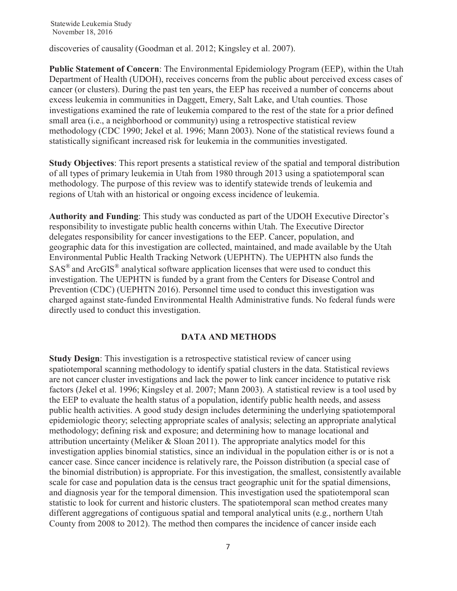discoveries of causality (Goodman et al. 2012; Kingsley et al. 2007).

**Public Statement of Concern**: The Environmental Epidemiology Program (EEP), within the Utah Department of Health (UDOH), receives concerns from the public about perceived excess cases of cancer (or clusters). During the past ten years, the EEP has received a number of concerns about excess leukemia in communities in Daggett, Emery, Salt Lake, and Utah counties. Those investigations examined the rate of leukemia compared to the rest of the state for a prior defined small area (i.e., a neighborhood or community) using a retrospective statistical review methodology (CDC 1990; Jekel et al. 1996; Mann 2003). None of the statistical reviews found a statistically significant increased risk for leukemia in the communities investigated.

**Study Objectives**: This report presents a statistical review of the spatial and temporal distribution of all types of primary leukemia in Utah from 1980 through 2013 using a spatiotemporal scan methodology. The purpose of this review was to identify statewide trends of leukemia and regions of Utah with an historical or ongoing excess incidence of leukemia.

**Authority and Funding**: This study was conducted as part of the UDOH Executive Director's responsibility to investigate public health concerns within Utah. The Executive Director delegates responsibility for cancer investigations to the EEP. Cancer, population, and geographic data for this investigation are collected, maintained, and made available by the Utah Environmental Public Health Tracking Network (UEPHTN). The UEPHTN also funds the  $SAS^{\otimes}$  and ArcGIS<sup>®</sup> analytical software application licenses that were used to conduct this investigation. The UEPHTN is funded by a grant from the Centers for Disease Control and Prevention (CDC) (UEPHTN 2016). Personnel time used to conduct this investigation was charged against state-funded Environmental Health Administrative funds. No federal funds were directly used to conduct this investigation.

### **DATA AND METHODS**

**Study Design**: This investigation is a retrospective statistical review of cancer using spatiotemporal scanning methodology to identify spatial clusters in the data. Statistical reviews are not cancer cluster investigations and lack the power to link cancer incidence to putative risk factors (Jekel et al. 1996; Kingsley et al. 2007; Mann 2003). A statistical review is a tool used by the EEP to evaluate the health status of a population, identify public health needs, and assess public health activities. A good study design includes determining the underlying spatiotemporal epidemiologic theory; selecting appropriate scales of analysis; selecting an appropriate analytical methodology; defining risk and exposure; and determining how to manage locational and attribution uncertainty (Meliker  $&$  Sloan 2011). The appropriate analytics model for this investigation applies binomial statistics, since an individual in the population either is or is not a cancer case. Since cancer incidence is relatively rare, the Poisson distribution (a special case of the binomial distribution) is appropriate. For this investigation, the smallest, consistently available scale for case and population data is the census tract geographic unit for the spatial dimensions, and diagnosis year for the temporal dimension. This investigation used the spatiotemporal scan statistic to look for current and historic clusters. The spatiotemporal scan method creates many different aggregations of contiguous spatial and temporal analytical units (e.g., northern Utah County from 2008 to 2012). The method then compares the incidence of cancer inside each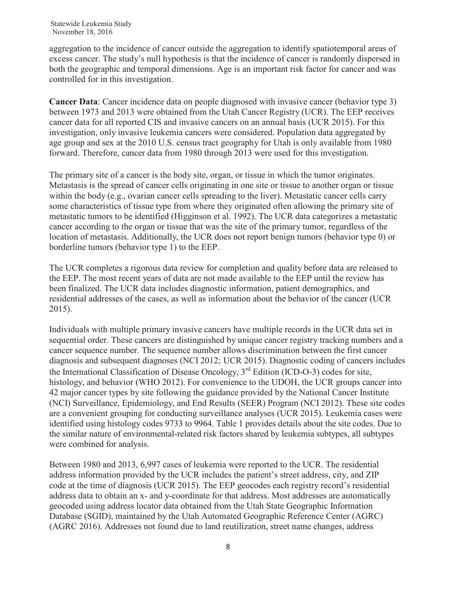aggregation to the incidence of cancer outside the aggregation to identify spatiotemporal areas of excess cancer. The study's null hypothesis is that the incidence of cancer is randomly dispersed in both the geographic and temporal dimensions. Age is an important risk factor for cancer and was controlled for in this investigation.

**Cancer Data**: Cancer incidence data on people diagnosed with invasive cancer (behavior type 3) between 1973 and 2013 were obtained from the Utah Cancer Registry (UCR). The EEP receives cancer data for all reported CIS and invasive cancers on an annual basis (UCR 2015). For this investigation, only invasive leukemia cancers were considered. Population data aggregated by age group and sex at the 2010 U.S. census tract geography for Utah is only available from 1980 forward. Therefore, cancer data from 1980 through 2013 were used for this investigation.

The primary site of a cancer is the body site, organ, or tissue in which the tumor originates. Metastasis is the spread of cancer cells originating in one site or tissue to another organ or tissue within the body (e.g., ovarian cancer cells spreading to the liver). Metastatic cancer cells carry some characteristics of tissue type from where they originated often allowing the primary site of metastatic tumors to be identified (Higginson et al. 1992). The UCR data categorizes a metastatic cancer according to the organ or tissue that was the site of the primary tumor, regardless of the location of metastasis. Additionally, the UCR does not report benign tumors (behavior type 0) or borderline tumors (behavior type 1) to the EEP.

The UCR completes a rigorous data review for completion and quality before data are released to the EEP. The most recent years of data are not made available to the EEP until the review has been finalized. The UCR data includes diagnostic information, patient demographics, and residential addresses of the cases, as well as information about the behavior of the cancer (UCR 2015).

Individuals with multiple primary invasive cancers have multiple records in the UCR data set in sequential order. These cancers are distinguished by unique cancer registry tracking numbers and a cancer sequence number. The sequence number allows discrimination between the first cancer diagnosis and subsequent diagnoses (NCI 2012; UCR 2015). Diagnostic coding of cancers includes the International Classification of Disease Oncology, 3rd Edition (ICD-O-3) codes for site, histology, and behavior (WHO 2012). For convenience to the UDOH, the UCR groups cancer into 42 major cancer types by site following the guidance provided by the National Cancer Institute (NCI) Surveillance, Epidemiology, and End Results (SEER) Program (NCI 2012). These site codes are a convenient grouping for conducting surveillance analyses (UCR 2015). Leukemia cases were identified using histology codes 9733 to 9964. Table 1 provides details about the site codes. Due to the similar nature of environmental-related risk factors shared by leukemia subtypes, all subtypes were combined for analysis.

Between 1980 and 2013, 6,997 cases of leukemia were reported to the UCR. The residential address information provided by the UCR includes the patient's street address, city, and ZIP code at the time of diagnosis (UCR 2015). The EEP geocodes each registry record's residential address data to obtain an x- and y-coordinate for that address. Most addresses are automatically geocoded using address locator data obtained from the Utah State Geographic Information Database (SGID), maintained by the Utah Automated Geographic Reference Center (AGRC) (AGRC 2016). Addresses not found due to land reutilization, street name changes, address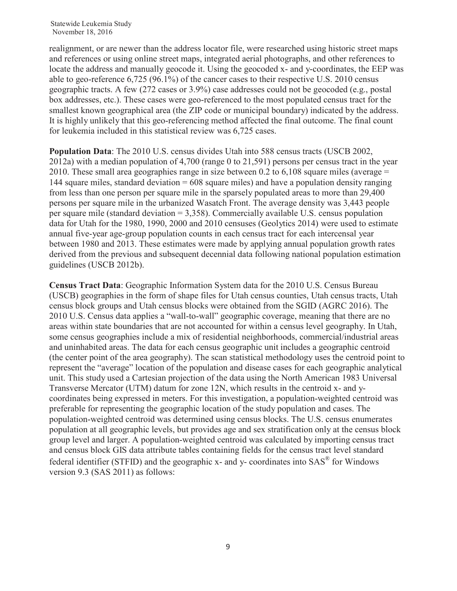realignment, or are newer than the address locator file, were researched using historic street maps and references or using online street maps, integrated aerial photographs, and other references to locate the address and manually geocode it. Using the geocoded x- and y-coordinates, the EEP was able to geo-reference 6,725 (96.1%) of the cancer cases to their respective U.S. 2010 census geographic tracts. A few (272 cases or 3.9%) case addresses could not be geocoded (e.g., postal box addresses, etc.). These cases were geo-referenced to the most populated census tract for the smallest known geographical area (the ZIP code or municipal boundary) indicated by the address. It is highly unlikely that this geo-referencing method affected the final outcome. The final count for leukemia included in this statistical review was 6,725 cases.

**Population Data**: The 2010 U.S. census divides Utah into 588 census tracts (USCB 2002, 2012a) with a median population of 4,700 (range 0 to 21,591) persons per census tract in the year 2010. These small area geographies range in size between 0.2 to 6,108 square miles (average = 144 square miles, standard deviation = 608 square miles) and have a population density ranging from less than one person per square mile in the sparsely populated areas to more than 29,400 persons per square mile in the urbanized Wasatch Front. The average density was 3,443 people per square mile (standard deviation = 3,358). Commercially available U.S. census population data for Utah for the 1980, 1990, 2000 and 2010 censuses (Geolytics 2014) were used to estimate annual five-year age-group population counts in each census tract for each intercensal year between 1980 and 2013. These estimates were made by applying annual population growth rates derived from the previous and subsequent decennial data following national population estimation guidelines (USCB 2012b).

**Census Tract Data**: Geographic Information System data for the 2010 U.S. Census Bureau (USCB) geographies in the form of shape files for Utah census counties, Utah census tracts, Utah census block groups and Utah census blocks were obtained from the SGID (AGRC 2016). The 2010 U.S. Census data applies a "wall-to-wall" geographic coverage, meaning that there are no areas within state boundaries that are not accounted for within a census level geography. In Utah, some census geographies include a mix of residential neighborhoods, commercial/industrial areas and uninhabited areas. The data for each census geographic unit includes a geographic centroid (the center point of the area geography). The scan statistical methodology uses the centroid point to represent the "average" location of the population and disease cases for each geographic analytical unit. This study used a Cartesian projection of the data using the North American 1983 Universal Transverse Mercator (UTM) datum for zone 12N, which results in the centroid x- and ycoordinates being expressed in meters. For this investigation, a population-weighted centroid was preferable for representing the geographic location of the study population and cases. The population-weighted centroid was determined using census blocks. The U.S. census enumerates population at all geographic levels, but provides age and sex stratification only at the census block group level and larger. A population-weighted centroid was calculated by importing census tract and census block GIS data attribute tables containing fields for the census tract level standard federal identifier (STFID) and the geographic  $x$ - and  $y$ - coordinates into  $SAS^{\circledast}$  for Windows version 9.3 (SAS 2011) as follows: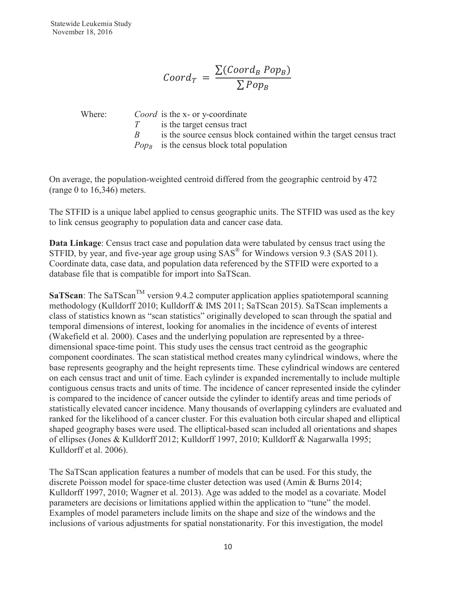$$
Coord_T = \frac{\sum (Coord_B \, Pop_B)}{\sum \, Pop_B}
$$

Where: *Coord* is the x- or y-coordinate

*T* is the target census tract

*B* is the source census block contained within the target census tract

*Pop<sub>B</sub>* is the census block total population

On average, the population-weighted centroid differed from the geographic centroid by 472 (range 0 to 16,346) meters.

The STFID is a unique label applied to census geographic units. The STFID was used as the key to link census geography to population data and cancer case data.

**Data Linkage**: Census tract case and population data were tabulated by census tract using the STFID, by year, and five-year age group using SAS<sup>®</sup> for Windows version 9.3 (SAS 2011). Coordinate data, case data, and population data referenced by the STFID were exported to a database file that is compatible for import into SaTScan.

**SaTScan**: The SaTScan<sup>TM</sup> version 9.4.2 computer application applies spatiotemporal scanning methodology (Kulldorff 2010; Kulldorff & IMS 2011; SaTScan 2015). SaTScan implements a class of statistics known as "scan statistics" originally developed to scan through the spatial and temporal dimensions of interest, looking for anomalies in the incidence of events of interest (Wakefield et al. 2000). Cases and the underlying population are represented by a threedimensional space-time point. This study uses the census tract centroid as the geographic component coordinates. The scan statistical method creates many cylindrical windows, where the base represents geography and the height represents time. These cylindrical windows are centered on each census tract and unit of time. Each cylinder is expanded incrementally to include multiple contiguous census tracts and units of time. The incidence of cancer represented inside the cylinder is compared to the incidence of cancer outside the cylinder to identify areas and time periods of statistically elevated cancer incidence. Many thousands of overlapping cylinders are evaluated and ranked for the likelihood of a cancer cluster. For this evaluation both circular shaped and elliptical shaped geography bases were used. The elliptical-based scan included all orientations and shapes of ellipses (Jones & Kulldorff 2012; Kulldorff 1997, 2010; Kulldorff & Nagarwalla 1995; Kulldorff et al. 2006).

The SaTScan application features a number of models that can be used. For this study, the discrete Poisson model for space-time cluster detection was used (Amin & Burns 2014; Kulldorff 1997, 2010; Wagner et al. 2013). Age was added to the model as a covariate. Model parameters are decisions or limitations applied within the application to "tune" the model. Examples of model parameters include limits on the shape and size of the windows and the inclusions of various adjustments for spatial nonstationarity. For this investigation, the model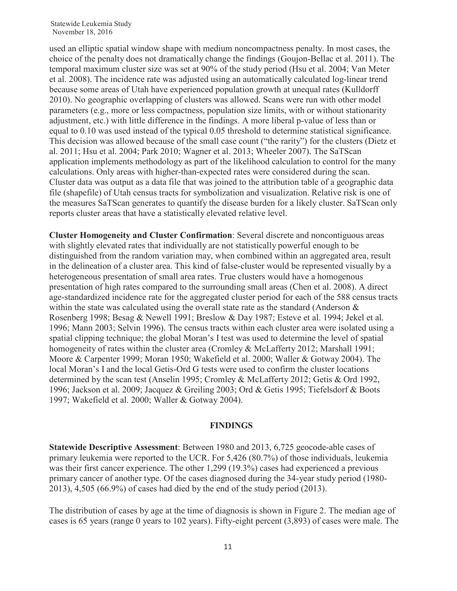used an elliptic spatial window shape with medium noncompactness penalty. In most cases, the choice of the penalty does not dramatically change the findings (Goujon-Bellac et al. 2011). The temporal maximum cluster size was set at 90% of the study period (Hsu et al. 2004; Van Meter et al. 2008). The incidence rate was adjusted using an automatically calculated log-linear trend because some areas of Utah have experienced population growth at unequal rates (Kulldorff 2010). No geographic overlapping of clusters was allowed. Scans were run with other model parameters (e.g., more or less compactness, population size limits, with or without stationarity adjustment, etc.) with little difference in the findings. A more liberal p-value of less than or equal to 0.10 was used instead of the typical 0.05 threshold to determine statistical significance. This decision was allowed because of the small case count ("the rarity") for the clusters (Dietz et al. 2011; Hsu et al. 2004; Park 2010; Wagner et al. 2013; Wheeler 2007). The SaTScan application implements methodology as part of the likelihood calculation to control for the many calculations. Only areas with higher-than-expected rates were considered during the scan. Cluster data was output as a data file that was joined to the attribution table of a geographic data file (shapefile) of Utah census tracts for symbolization and visualization. Relative risk is one of the measures SaTScan generates to quantify the disease burden for a likely cluster. SaTScan only reports cluster areas that have a statistically elevated relative level.

**Cluster Homogeneity and Cluster Confirmation**: Several discrete and noncontiguous areas with slightly elevated rates that individually are not statistically powerful enough to be distinguished from the random variation may, when combined within an aggregated area, result in the delineation of a cluster area. This kind of false-cluster would be represented visually by a heterogeneous presentation of small area rates. True clusters would have a homogenous presentation of high rates compared to the surrounding small areas (Chen et al. 2008). A direct age-standardized incidence rate for the aggregated cluster period for each of the 588 census tracts within the state was calculated using the overall state rate as the standard (Anderson  $\&$ Rosenberg 1998; Besag & Newell 1991; Breslow & Day 1987; Esteve et al. 1994; Jekel et al. 1996; Mann 2003; Selvin 1996). The census tracts within each cluster area were isolated using a spatial clipping technique; the global Moran's I test was used to determine the level of spatial homogeneity of rates within the cluster area (Cromley & McLafferty 2012; Marshall 1991; Moore & Carpenter 1999; Moran 1950; Wakefield et al. 2000; Waller & Gotway 2004). The local Moran's I and the local Getis-Ord G tests were used to confirm the cluster locations determined by the scan test (Anselin 1995; Cromley & McLafferty 2012; Getis & Ord 1992, 1996; Jackson et al. 2009; Jacquez & Greiling 2003; Ord & Getis 1995; Tiefelsdorf & Boots 1997; Wakefield et al. 2000; Waller & Gotway 2004).

#### **FINDINGS**

**Statewide Descriptive Assessment**: Between 1980 and 2013, 6,725 geocode-able cases of primary leukemia were reported to the UCR. For 5,426 (80.7%) of those individuals, leukemia was their first cancer experience. The other 1,299 (19.3%) cases had experienced a previous primary cancer of another type. Of the cases diagnosed during the 34-year study period (1980- 2013), 4,505 (66.9%) of cases had died by the end of the study period (2013).

The distribution of cases by age at the time of diagnosis is shown in Figure 2. The median age of cases is 65 years (range 0 years to 102 years). Fifty-eight percent (3,893) of cases were male. The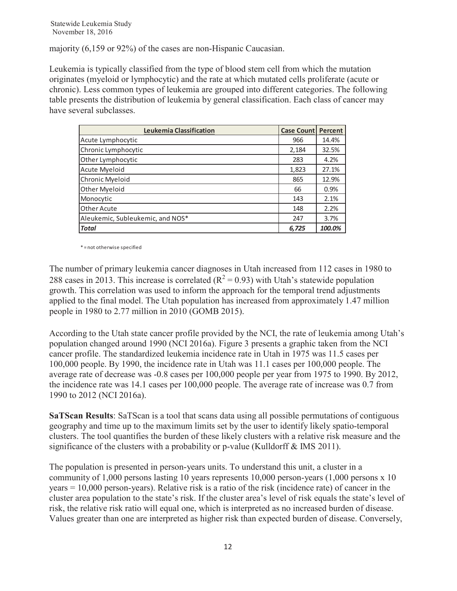majority (6,159 or 92%) of the cases are non-Hispanic Caucasian.

Leukemia is typically classified from the type of blood stem cell from which the mutation originates (myeloid or lymphocytic) and the rate at which mutated cells proliferate (acute or chronic). Less common types of leukemia are grouped into different categories. The following table presents the distribution of leukemia by general classification. Each class of cancer may have several subclasses.

| Leukemia Classification          | <b>Case Count</b> | Percent |
|----------------------------------|-------------------|---------|
| Acute Lymphocytic                | 966               | 14.4%   |
| Chronic Lymphocytic              | 2,184             | 32.5%   |
| Other Lymphocytic                | 283               | 4.2%    |
| Acute Myeloid                    | 1,823             | 27.1%   |
| Chronic Myeloid                  | 865               | 12.9%   |
| Other Myeloid                    | 66                | 0.9%    |
| Monocytic                        | 143               | 2.1%    |
| Other Acute                      | 148               | 2.2%    |
| Aleukemic, Subleukemic, and NOS* | 247               | 3.7%    |
| <b>Total</b>                     | 6,725             | 100.0%  |

\* = not otherwise specified

The number of primary leukemia cancer diagnoses in Utah increased from 112 cases in 1980 to 288 cases in 2013. This increase is correlated ( $R^2 = 0.93$ ) with Utah's statewide population growth. This correlation was used to inform the approach for the temporal trend adjustments applied to the final model. The Utah population has increased from approximately 1.47 million people in 1980 to 2.77 million in 2010 (GOMB 2015).

According to the Utah state cancer profile provided by the NCI, the rate of leukemia among Utah's population changed around 1990 (NCI 2016a). Figure 3 presents a graphic taken from the NCI cancer profile. The standardized leukemia incidence rate in Utah in 1975 was 11.5 cases per 100,000 people. By 1990, the incidence rate in Utah was 11.1 cases per 100,000 people. The average rate of decrease was -0.8 cases per 100,000 people per year from 1975 to 1990. By 2012, the incidence rate was 14.1 cases per 100,000 people. The average rate of increase was 0.7 from 1990 to 2012 (NCI 2016a).

**SaTScan Results**: SaTScan is a tool that scans data using all possible permutations of contiguous geography and time up to the maximum limits set by the user to identify likely spatio-temporal clusters. The tool quantifies the burden of these likely clusters with a relative risk measure and the significance of the clusters with a probability or p-value (Kulldorff & IMS 2011).

The population is presented in person-years units. To understand this unit, a cluster in a community of 1,000 persons lasting 10 years represents 10,000 person-years (1,000 persons x 10 years = 10,000 person-years). Relative risk is a ratio of the risk (incidence rate) of cancer in the cluster area population to the state's risk. If the cluster area's level of risk equals the state's level of risk, the relative risk ratio will equal one, which is interpreted as no increased burden of disease. Values greater than one are interpreted as higher risk than expected burden of disease. Conversely,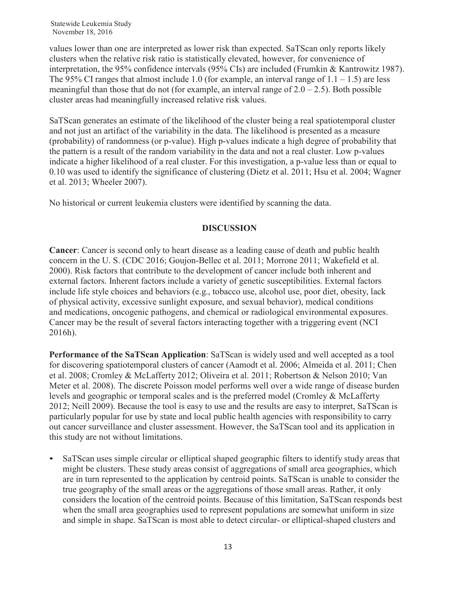values lower than one are interpreted as lower risk than expected. SaTScan only reports likely clusters when the relative risk ratio is statistically elevated, however, for convenience of interpretation, the 95% confidence intervals (95% CIs) are included (Frumkin & Kantrowitz 1987). The 95% CI ranges that almost include 1.0 (for example, an interval range of  $1.1 - 1.5$ ) are less meaningful than those that do not (for example, an interval range of  $2.0 - 2.5$ ). Both possible cluster areas had meaningfully increased relative risk values.

SaTScan generates an estimate of the likelihood of the cluster being a real spatiotemporal cluster and not just an artifact of the variability in the data. The likelihood is presented as a measure (probability) of randomness (or p-value). High p-values indicate a high degree of probability that the pattern is a result of the random variability in the data and not a real cluster. Low p-values indicate a higher likelihood of a real cluster. For this investigation, a p-value less than or equal to 0.10 was used to identify the significance of clustering (Dietz et al. 2011; Hsu et al. 2004; Wagner et al. 2013; Wheeler 2007).

No historical or current leukemia clusters were identified by scanning the data.

## **DISCUSSION**

**Cancer**: Cancer is second only to heart disease as a leading cause of death and public health concern in the U. S. (CDC 2016; Goujon-Bellec et al. 2011; Morrone 2011; Wakefield et al. 2000). Risk factors that contribute to the development of cancer include both inherent and external factors. Inherent factors include a variety of genetic susceptibilities. External factors include life style choices and behaviors (e.g., tobacco use, alcohol use, poor diet, obesity, lack of physical activity, excessive sunlight exposure, and sexual behavior), medical conditions and medications, oncogenic pathogens, and chemical or radiological environmental exposures. Cancer may be the result of several factors interacting together with a triggering event (NCI 2016h).

**Performance of the SaTScan Application**: SaTScan is widely used and well accepted as a tool for discovering spatiotemporal clusters of cancer (Aamodt et al. 2006; Almeida et al. 2011; Chen et al. 2008; Cromley & McLafferty 2012; Oliveira et al. 2011; Robertson & Nelson 2010; Van Meter et al. 2008). The discrete Poisson model performs well over a wide range of disease burden levels and geographic or temporal scales and is the preferred model (Cromley & McLafferty 2012; Neill 2009). Because the tool is easy to use and the results are easy to interpret, SaTScan is particularly popular for use by state and local public health agencies with responsibility to carry out cancer surveillance and cluster assessment. However, the SaTScan tool and its application in this study are not without limitations.

• SaTScan uses simple circular or elliptical shaped geographic filters to identify study areas that might be clusters. These study areas consist of aggregations of small area geographies, which are in turn represented to the application by centroid points. SaTScan is unable to consider the true geography of the small areas or the aggregations of those small areas. Rather, it only considers the location of the centroid points. Because of this limitation, SaTScan responds best when the small area geographies used to represent populations are somewhat uniform in size and simple in shape. SaTScan is most able to detect circular- or elliptical-shaped clusters and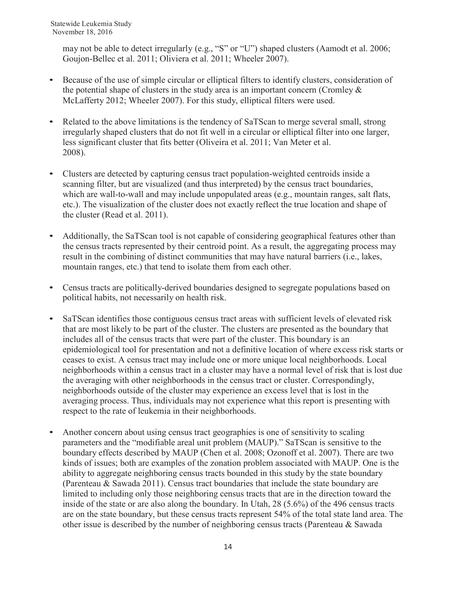may not be able to detect irregularly (e.g., "S" or "U") shaped clusters (Aamodt et al. 2006; Goujon-Bellec et al. 2011; Oliviera et al. 2011; Wheeler 2007).

- Because of the use of simple circular or elliptical filters to identify clusters, consideration of the potential shape of clusters in the study area is an important concern (Cromley  $\&$ McLafferty 2012; Wheeler 2007). For this study, elliptical filters were used.
- Related to the above limitations is the tendency of SaTScan to merge several small, strong irregularly shaped clusters that do not fit well in a circular or elliptical filter into one larger, less significant cluster that fits better (Oliveira et al. 2011; Van Meter et al. 2008).
- Clusters are detected by capturing census tract population-weighted centroids inside a scanning filter, but are visualized (and thus interpreted) by the census tract boundaries, which are wall-to-wall and may include unpopulated areas (e.g., mountain ranges, salt flats, etc.). The visualization of the cluster does not exactly reflect the true location and shape of the cluster (Read et al. 2011).
- Additionally, the SaTScan tool is not capable of considering geographical features other than the census tracts represented by their centroid point. As a result, the aggregating process may result in the combining of distinct communities that may have natural barriers (i.e., lakes, mountain ranges, etc.) that tend to isolate them from each other.
- Census tracts are politically-derived boundaries designed to segregate populations based on political habits, not necessarily on health risk.
- SaTScan identifies those contiguous census tract areas with sufficient levels of elevated risk that are most likely to be part of the cluster. The clusters are presented as the boundary that includes all of the census tracts that were part of the cluster. This boundary is an epidemiological tool for presentation and not a definitive location of where excess risk starts or ceases to exist. A census tract may include one or more unique local neighborhoods. Local neighborhoods within a census tract in a cluster may have a normal level of risk that is lost due the averaging with other neighborhoods in the census tract or cluster. Correspondingly, neighborhoods outside of the cluster may experience an excess level that is lost in the averaging process. Thus, individuals may not experience what this report is presenting with respect to the rate of leukemia in their neighborhoods.
- Another concern about using census tract geographies is one of sensitivity to scaling parameters and the "modifiable areal unit problem (MAUP)." SaTScan is sensitive to the boundary effects described by MAUP (Chen et al. 2008; Ozonoff et al. 2007). There are two kinds of issues; both are examples of the zonation problem associated with MAUP. One is the ability to aggregate neighboring census tracts bounded in this study by the state boundary (Parenteau & Sawada 2011). Census tract boundaries that include the state boundary are limited to including only those neighboring census tracts that are in the direction toward the inside of the state or are also along the boundary. In Utah, 28 (5.6%) of the 496 census tracts are on the state boundary, but these census tracts represent 54% of the total state land area. The other issue is described by the number of neighboring census tracts (Parenteau & Sawada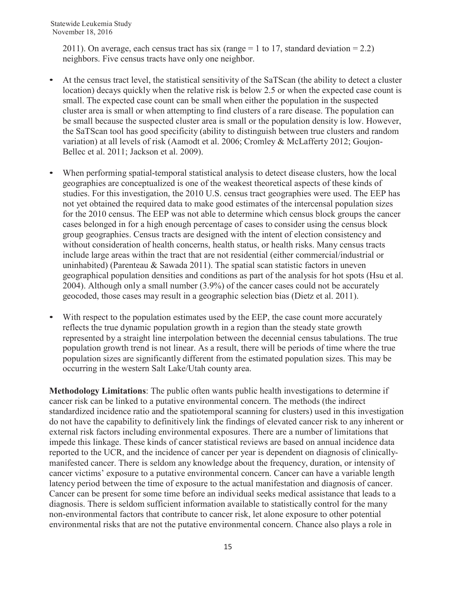2011). On average, each census tract has six (range  $= 1$  to 17, standard deviation  $= 2.2$ ) neighbors. Five census tracts have only one neighbor.

- At the census tract level, the statistical sensitivity of the SaTScan (the ability to detect a cluster location) decays quickly when the relative risk is below 2.5 or when the expected case count is small. The expected case count can be small when either the population in the suspected cluster area is small or when attempting to find clusters of a rare disease. The population can be small because the suspected cluster area is small or the population density is low. However, the SaTScan tool has good specificity (ability to distinguish between true clusters and random variation) at all levels of risk (Aamodt et al. 2006; Cromley & McLafferty 2012; Goujon-Bellec et al. 2011; Jackson et al. 2009).
- When performing spatial-temporal statistical analysis to detect disease clusters, how the local geographies are conceptualized is one of the weakest theoretical aspects of these kinds of studies. For this investigation, the 2010 U.S. census tract geographies were used. The EEP has not yet obtained the required data to make good estimates of the intercensal population sizes for the 2010 census. The EEP was not able to determine which census block groups the cancer cases belonged in for a high enough percentage of cases to consider using the census block group geographies. Census tracts are designed with the intent of election consistency and without consideration of health concerns, health status, or health risks. Many census tracts include large areas within the tract that are not residential (either commercial/industrial or uninhabited) (Parenteau & Sawada 2011). The spatial scan statistic factors in uneven geographical population densities and conditions as part of the analysis for hot spots (Hsu et al. 2004). Although only a small number (3.9%) of the cancer cases could not be accurately geocoded, those cases may result in a geographic selection bias (Dietz et al. 2011).
- With respect to the population estimates used by the EEP, the case count more accurately reflects the true dynamic population growth in a region than the steady state growth represented by a straight line interpolation between the decennial census tabulations. The true population growth trend is not linear. As a result, there will be periods of time where the true population sizes are significantly different from the estimated population sizes. This may be occurring in the western Salt Lake/Utah county area.

**Methodology Limitations**: The public often wants public health investigations to determine if cancer risk can be linked to a putative environmental concern. The methods (the indirect standardized incidence ratio and the spatiotemporal scanning for clusters) used in this investigation do not have the capability to definitively link the findings of elevated cancer risk to any inherent or external risk factors including environmental exposures. There are a number of limitations that impede this linkage. These kinds of cancer statistical reviews are based on annual incidence data reported to the UCR, and the incidence of cancer per year is dependent on diagnosis of clinicallymanifested cancer. There is seldom any knowledge about the frequency, duration, or intensity of cancer victims' exposure to a putative environmental concern. Cancer can have a variable length latency period between the time of exposure to the actual manifestation and diagnosis of cancer. Cancer can be present for some time before an individual seeks medical assistance that leads to a diagnosis. There is seldom sufficient information available to statistically control for the many non-environmental factors that contribute to cancer risk, let alone exposure to other potential environmental risks that are not the putative environmental concern. Chance also plays a role in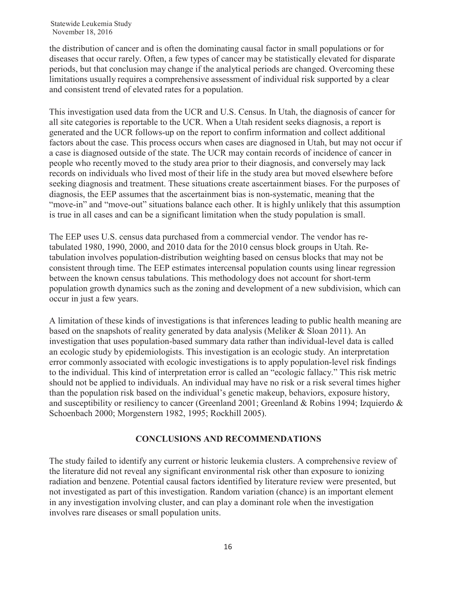the distribution of cancer and is often the dominating causal factor in small populations or for diseases that occur rarely. Often, a few types of cancer may be statistically elevated for disparate periods, but that conclusion may change if the analytical periods are changed. Overcoming these limitations usually requires a comprehensive assessment of individual risk supported by a clear and consistent trend of elevated rates for a population.

This investigation used data from the UCR and U.S. Census. In Utah, the diagnosis of cancer for all site categories is reportable to the UCR. When a Utah resident seeks diagnosis, a report is generated and the UCR follows-up on the report to confirm information and collect additional factors about the case. This process occurs when cases are diagnosed in Utah, but may not occur if a case is diagnosed outside of the state. The UCR may contain records of incidence of cancer in people who recently moved to the study area prior to their diagnosis, and conversely may lack records on individuals who lived most of their life in the study area but moved elsewhere before seeking diagnosis and treatment. These situations create ascertainment biases. For the purposes of diagnosis, the EEP assumes that the ascertainment bias is non-systematic, meaning that the "move-in" and "move-out" situations balance each other. It is highly unlikely that this assumption is true in all cases and can be a significant limitation when the study population is small.

The EEP uses U.S. census data purchased from a commercial vendor. The vendor has retabulated 1980, 1990, 2000, and 2010 data for the 2010 census block groups in Utah. Retabulation involves population-distribution weighting based on census blocks that may not be consistent through time. The EEP estimates intercensal population counts using linear regression between the known census tabulations. This methodology does not account for short-term population growth dynamics such as the zoning and development of a new subdivision, which can occur in just a few years.

A limitation of these kinds of investigations is that inferences leading to public health meaning are based on the snapshots of reality generated by data analysis (Meliker & Sloan 2011). An investigation that uses population-based summary data rather than individual-level data is called an ecologic study by epidemiologists. This investigation is an ecologic study. An interpretation error commonly associated with ecologic investigations is to apply population-level risk findings to the individual. This kind of interpretation error is called an "ecologic fallacy." This risk metric should not be applied to individuals. An individual may have no risk or a risk several times higher than the population risk based on the individual's genetic makeup, behaviors, exposure history, and susceptibility or resiliency to cancer (Greenland 2001; Greenland & Robins 1994; Izquierdo & Schoenbach 2000; Morgenstern 1982, 1995; Rockhill 2005).

## **CONCLUSIONS AND RECOMMENDATIONS**

The study failed to identify any current or historic leukemia clusters. A comprehensive review of the literature did not reveal any significant environmental risk other than exposure to ionizing radiation and benzene. Potential causal factors identified by literature review were presented, but not investigated as part of this investigation. Random variation (chance) is an important element in any investigation involving cluster, and can play a dominant role when the investigation involves rare diseases or small population units.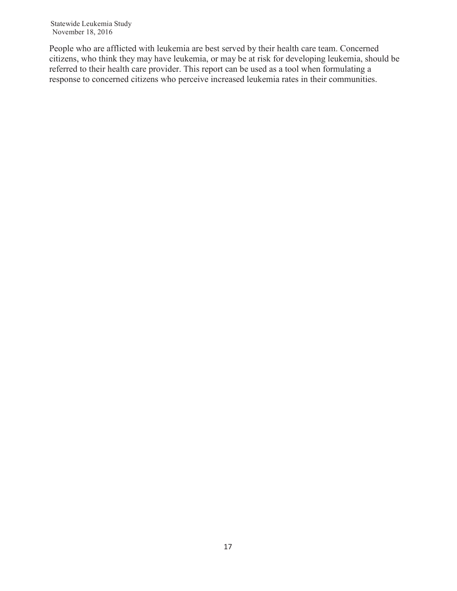People who are afflicted with leukemia are best served by their health care team. Concerned citizens, who think they may have leukemia, or may be at risk for developing leukemia, should be referred to their health care provider. This report can be used as a tool when formulating a response to concerned citizens who perceive increased leukemia rates in their communities.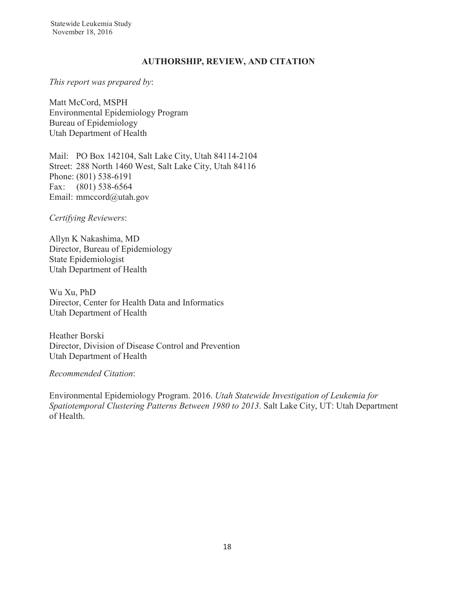### **AUTHORSHIP, REVIEW, AND CITATION**

*This report was prepared by*:

Matt McCord, MSPH Environmental Epidemiology Program Bureau of Epidemiology Utah Department of Health

Mail: PO Box 142104, Salt Lake City, Utah 84114-2104 Street: 288 North 1460 West, Salt Lake City, Utah 84116 Phone: (801) 538-6191 Fax: (801) 538-6564 Email: mmccord@utah.gov

*Certifying Reviewers*:

Allyn K Nakashima, MD Director, Bureau of Epidemiology State Epidemiologist Utah Department of Health

Wu Xu, PhD Director, Center for Health Data and Informatics Utah Department of Health

Heather Borski Director, Division of Disease Control and Prevention Utah Department of Health

*Recommended Citation*:

Environmental Epidemiology Program. 2016. *Utah Statewide Investigation of Leukemia for Spatiotemporal Clustering Patterns Between 1980 to 2013*. Salt Lake City, UT: Utah Department of Health.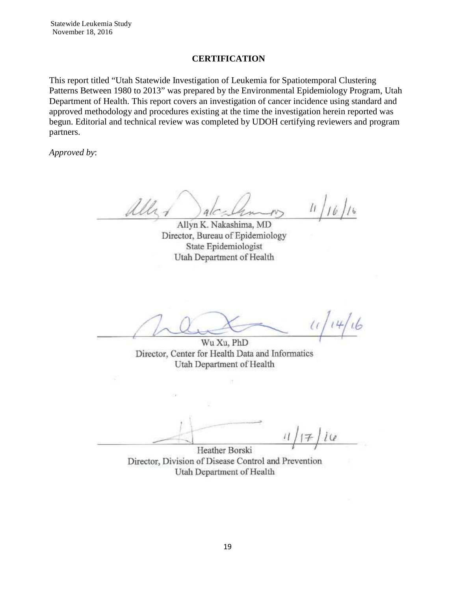#### **CERTIFICATION**

This report titled "Utah Statewide Investigation of Leukemia for Spatiotemporal Clustering Patterns Between 1980 to 2013" was prepared by the Environmental Epidemiology Program, Utah Department of Health. This report covers an investigation of cancer incidence using standard and approved methodology and procedures existing at the time the investigation herein reported was begun. Editorial and technical review was completed by UDOH certifying reviewers and program partners.

*Approved by*:

all.

Allyn K. Nakashima, MD Director, Bureau of Epidemiology State Epidemiologist Utah Department of Health

 $4.6$ 

Wu Xu, PhD Director, Center for Health Data and Informatics Utah Department of Health

 $i\omega$ Heather Borski

Director, Division of Disease Control and Prevention Utah Department of Health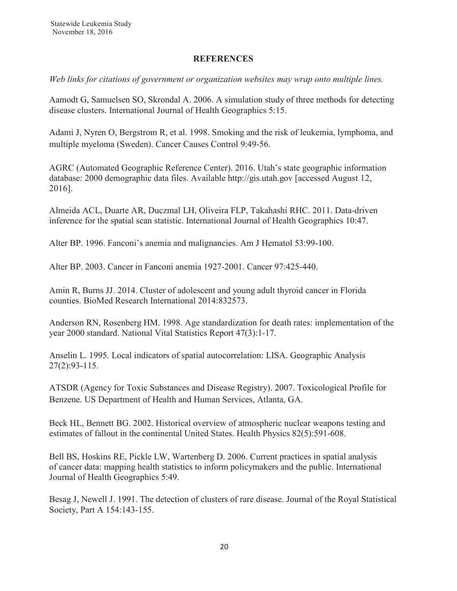#### **REFERENCES**

*Web links for citations of government or organization websites may wrap onto multiple lines.*

Aamodt G, Samuelsen SO, Skrondal A. 2006. A simulation study of three methods for detecting disease clusters. International Journal of Health Geographics 5:15.

Adami J, Nyren O, Bergstrom R, et al. 1998. Smoking and the risk of leukemia, lymphoma, and multiple myeloma (Sweden). Cancer Causes Control 9:49-56.

AGRC (Automated Geographic Reference Center). 2016. Utah's state geographic information database: 2000 demographic data files. Available http://gis.utah.gov [accessed August 12, 2016].

Almeida ACL, Duarte AR, Duczmal LH, Oliveira FLP, Takahashi RHC. 2011. Data-driven inference for the spatial scan statistic. International Journal of Health Geographics 10:47.

Alter BP. 1996. Fanconi's anemia and malignancies. Am J Hematol 53:99-100.

Alter BP. 2003. Cancer in Fanconi anemia 1927-2001. Cancer 97:425-440.

Amin R, Burns JJ. 2014. Cluster of adolescent and young adult thyroid cancer in Florida counties. BioMed Research International 2014:832573.

Anderson RN, Rosenberg HM. 1998. Age standardization for death rates: implementation of the year 2000 standard. National Vital Statistics Report 47(3):1-17.

Anselin L. 1995. Local indicators of spatial autocorrelation: LISA. Geographic Analysis 27(2):93-115.

ATSDR (Agency for Toxic Substances and Disease Registry). 2007. Toxicological Profile for Benzene. US Department of Health and Human Services, Atlanta, GA.

Beck HL, Bennett BG. 2002. Historical overview of atmospheric nuclear weapons testing and estimates of fallout in the continental United States. Health Physics 82(5):591-608.

Bell BS, Hoskins RE, Pickle LW, Wartenberg D. 2006. Current practices in spatial analysis of cancer data: mapping health statistics to inform policymakers and the public. International Journal of Health Geographics 5:49.

Besag J, Newell J. 1991. The detection of clusters of rare disease. Journal of the Royal Statistical Society, Part A 154:143-155.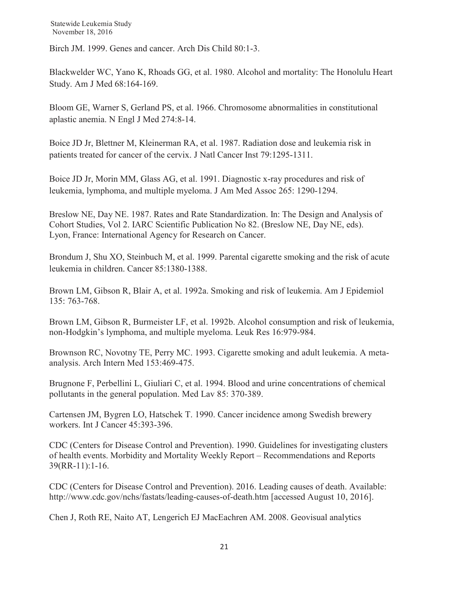Birch JM. 1999. Genes and cancer. Arch Dis Child 80:1-3.

Blackwelder WC, Yano K, Rhoads GG, et al. 1980. Alcohol and mortality: The Honolulu Heart Study. Am J Med 68:164-169.

Bloom GE, Warner S, Gerland PS, et al. 1966. Chromosome abnormalities in constitutional aplastic anemia. N Engl J Med 274:8-14.

Boice JD Jr, Blettner M, Kleinerman RA, et al. 1987. Radiation dose and leukemia risk in patients treated for cancer of the cervix. J Natl Cancer Inst 79:1295-1311.

Boice JD Jr, Morin MM, Glass AG, et al. 1991. Diagnostic x-ray procedures and risk of leukemia, lymphoma, and multiple myeloma. J Am Med Assoc 265: 1290-1294.

Breslow NE, Day NE. 1987. Rates and Rate Standardization. In: The Design and Analysis of Cohort Studies, Vol 2. IARC Scientific Publication No 82. (Breslow NE, Day NE, eds). Lyon, France: International Agency for Research on Cancer.

Brondum J, Shu XO, Steinbuch M, et al. 1999. Parental cigarette smoking and the risk of acute leukemia in children. Cancer 85:1380-1388.

Brown LM, Gibson R, Blair A, et al. 1992a. Smoking and risk of leukemia. Am J Epidemiol 135: 763-768.

Brown LM, Gibson R, Burmeister LF, et al. 1992b. Alcohol consumption and risk of leukemia, non-Hodgkin's lymphoma, and multiple myeloma. Leuk Res 16:979-984.

Brownson RC, Novotny TE, Perry MC. 1993. Cigarette smoking and adult leukemia. A metaanalysis. Arch Intern Med 153:469-475.

Brugnone F, Perbellini L, Giuliari C, et al. 1994. Blood and urine concentrations of chemical pollutants in the general population. Med Lav 85: 370-389.

Cartensen JM, Bygren LO, Hatschek T. 1990. Cancer incidence among Swedish brewery workers. Int J Cancer 45:393-396.

CDC (Centers for Disease Control and Prevention). 1990. Guidelines for investigating clusters of health events. Morbidity and Mortality Weekly Report – Recommendations and Reports 39(RR-11):1-16.

CDC (Centers for Disease Control and Prevention). 2016. Leading causes of death. Available: http://www.cdc.gov/nchs/fastats/leading-causes-of-death.htm [accessed August 10, 2016].

Chen J, Roth RE, Naito AT, Lengerich EJ MacEachren AM. 2008. Geovisual analytics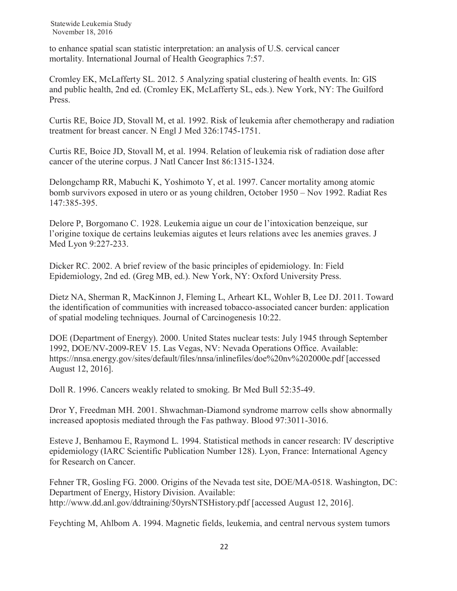to enhance spatial scan statistic interpretation: an analysis of U.S. cervical cancer mortality. International Journal of Health Geographics 7:57.

Cromley EK, McLafferty SL. 2012. 5 Analyzing spatial clustering of health events. In: GIS and public health, 2nd ed. (Cromley EK, McLafferty SL, eds.). New York, NY: The Guilford Press.

Curtis RE, Boice JD, Stovall M, et al. 1992. Risk of leukemia after chemotherapy and radiation treatment for breast cancer. N Engl J Med 326:1745-1751.

Curtis RE, Boice JD, Stovall M, et al. 1994. Relation of leukemia risk of radiation dose after cancer of the uterine corpus. J Natl Cancer Inst 86:1315-1324.

Delongchamp RR, Mabuchi K, Yoshimoto Y, et al. 1997. Cancer mortality among atomic bomb survivors exposed in utero or as young children, October 1950 – Nov 1992. Radiat Res 147:385-395.

Delore P, Borgomano C. 1928. Leukemia aigue un cour de l'intoxication benzeique, sur l'origine toxique de certains leukemias aigutes et leurs relations avec les anemies graves. J Med Lyon 9:227-233.

Dicker RC. 2002. A brief review of the basic principles of epidemiology. In: Field Epidemiology, 2nd ed. (Greg MB, ed.). New York, NY: Oxford University Press.

Dietz NA, Sherman R, MacKinnon J, Fleming L, Arheart KL, Wohler B, Lee DJ. 2011. Toward the identification of communities with increased tobacco-associated cancer burden: application of spatial modeling techniques. Journal of Carcinogenesis 10:22.

DOE (Department of Energy). 2000. United States nuclear tests: July 1945 through September 1992, DOE/NV-2009-REV 15. Las Vegas, NV: Nevada Operations Office. Available: https://nnsa.energy.gov/sites/default/files/nnsa/inlinefiles/doe%20nv%202000e.pdf [accessed August 12, 2016].

Doll R. 1996. Cancers weakly related to smoking. Br Med Bull 52:35-49.

Dror Y, Freedman MH. 2001. Shwachman-Diamond syndrome marrow cells show abnormally increased apoptosis mediated through the Fas pathway. Blood 97:3011-3016.

Esteve J, Benhamou E, Raymond L. 1994. Statistical methods in cancer research: IV descriptive epidemiology (IARC Scientific Publication Number 128). Lyon, France: International Agency for Research on Cancer.

Fehner TR, Gosling FG. 2000. Origins of the Nevada test site, DOE/MA-0518. Washington, DC: Department of Energy, History Division. Available: http://www.dd.anl.gov/ddtraining/50yrsNTSHistory.pdf [accessed August 12, 2016].

Feychting M, Ahlbom A. 1994. Magnetic fields, leukemia, and central nervous system tumors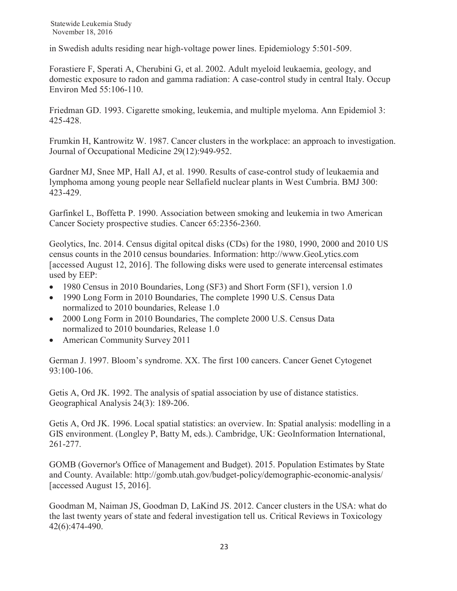in Swedish adults residing near high-voltage power lines. Epidemiology 5:501-509.

Forastiere F, Sperati A, Cherubini G, et al. 2002. Adult myeloid leukaemia, geology, and domestic exposure to radon and gamma radiation: A case-control study in central Italy. Occup Environ Med 55:106-110.

Friedman GD. 1993. Cigarette smoking, leukemia, and multiple myeloma. Ann Epidemiol 3: 425-428.

Frumkin H, Kantrowitz W. 1987. Cancer clusters in the workplace: an approach to investigation. Journal of Occupational Medicine 29(12):949-952.

Gardner MJ, Snee MP, Hall AJ, et al. 1990. Results of case-control study of leukaemia and lymphoma among young people near Sellafield nuclear plants in West Cumbria. BMJ 300: 423-429.

Garfinkel L, Boffetta P. 1990. Association between smoking and leukemia in two American Cancer Society prospective studies. Cancer 65:2356-2360.

Geolytics, Inc. 2014. Census digital opitcal disks (CDs) for the 1980, 1990, 2000 and 2010 US census counts in the 2010 census boundaries. Information: http://www.GeoLytics.com [accessed August 12, 2016]. The following disks were used to generate intercensal estimates used by EEP:

- $\bullet$  1980 Census in 2010 Boundaries, Long (SF3) and Short Form (SF1), version 1.0
- 1990 Long Form in 2010 Boundaries, The complete 1990 U.S. Census Data normalized to 2010 boundaries, Release 1.0
- 2000 Long Form in 2010 Boundaries, The complete 2000 U.S. Census Data normalized to 2010 boundaries, Release 1.0
- American Community Survey 2011

German J. 1997. Bloom's syndrome. XX. The first 100 cancers. Cancer Genet Cytogenet 93:100-106.

Getis A, Ord JK. 1992. The analysis of spatial association by use of distance statistics. Geographical Analysis 24(3): 189-206.

Getis A, Ord JK. 1996. Local spatial statistics: an overview. In: Spatial analysis: modelling in a GIS environment. (Longley P, Batty M, eds.). Cambridge, UK: GeoInformation International, 261-277.

GOMB (Governor's Office of Management and Budget). 2015. Population Estimates by State and County. Available: http://gomb.utah.gov/budget-policy/demographic-economic-analysis/ [accessed August 15, 2016].

Goodman M, Naiman JS, Goodman D, LaKind JS. 2012. Cancer clusters in the USA: what do the last twenty years of state and federal investigation tell us. Critical Reviews in Toxicology 42(6):474-490.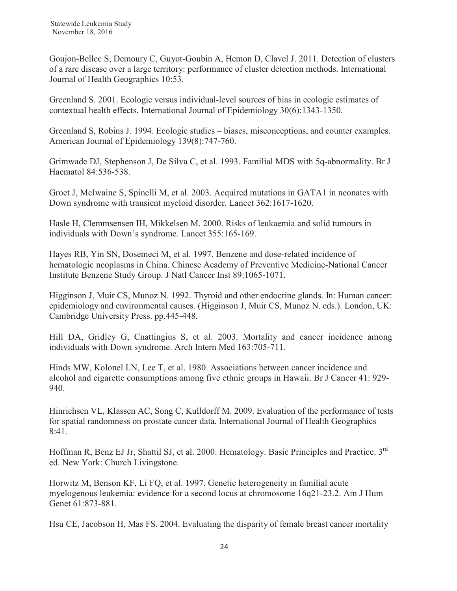Goujon-Bellec S, Demoury C, Guyot-Goubin A, Hemon D, Clavel J. 2011. Detection of clusters of a rare disease over a large territory: performance of cluster detection methods. International Journal of Health Geographics 10:53.

Greenland S. 2001. Ecologic versus individual-level sources of bias in ecologic estimates of contextual health effects. International Journal of Epidemiology 30(6):1343-1350.

Greenland S, Robins J. 1994. Ecologic studies – biases, misconceptions, and counter examples. American Journal of Epidemiology 139(8):747-760.

Grimwade DJ, Stephenson J, De Silva C, et al. 1993. Familial MDS with 5q-abnormality. Br J Haematol 84:536-538.

Groet J, McIwaine S, Spinelli M, et al. 2003. Acquired mutations in GATA1 in neonates with Down syndrome with transient myeloid disorder. Lancet 362:1617-1620.

Hasle H, Clemmsensen IH, Mikkelsen M. 2000. Risks of leukaemia and solid tumours in individuals with Down's syndrome. Lancet 355:165-169.

Hayes RB, Yin SN, Dosemeci M, et al. 1997. Benzene and dose-related incidence of hematologic neoplasms in China. Chinese Academy of Preventive Medicine-National Cancer Institute Benzene Study Group. J Natl Cancer Inst 89:1065-1071.

Higginson J, Muir CS, Munoz N. 1992. Thyroid and other endocrine glands. In: Human cancer: epidemiology and environmental causes. (Higginson J, Muir CS, Munoz N. eds.). London, UK: Cambridge University Press. pp.445-448.

Hill DA, Gridley G, Cnattingius S, et al. 2003. Mortality and cancer incidence among individuals with Down syndrome. Arch Intern Med 163:705-711.

Hinds MW, Kolonel LN, Lee T, et al. 1980. Associations between cancer incidence and alcohol and cigarette consumptions among five ethnic groups in Hawaii. Br J Cancer 41: 929- 940.

Hinrichsen VL, Klassen AC, Song C, Kulldorff M. 2009. Evaluation of the performance of tests for spatial randomness on prostate cancer data. International Journal of Health Geographics 8:41.

Hoffman R, Benz EJ Jr, Shattil SJ, et al. 2000. Hematology. Basic Principles and Practice. 3rd ed. New York: Church Livingstone.

Horwitz M, Benson KF, Li FQ, et al. 1997. Genetic heterogeneity in familial acute myelogenous leukemia: evidence for a second locus at chromosome 16q21-23.2. Am J Hum Genet 61:873-881.

Hsu CE, Jacobson H, Mas FS. 2004. Evaluating the disparity of female breast cancer mortality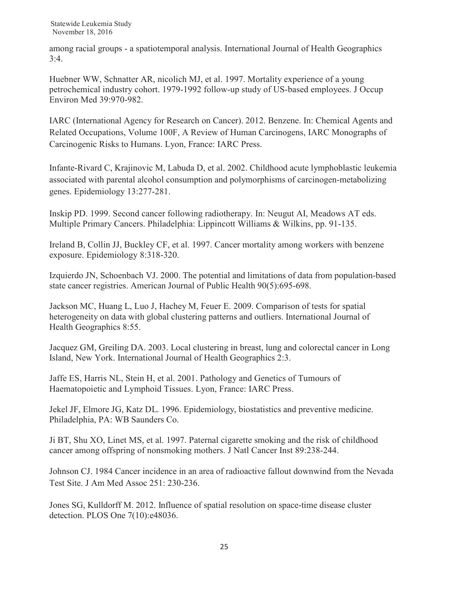among racial groups - a spatiotemporal analysis. International Journal of Health Geographics  $3:4.$ 

Huebner WW, Schnatter AR, nicolich MJ, et al. 1997. Mortality experience of a young petrochemical industry cohort. 1979-1992 follow-up study of US-based employees. J Occup Environ Med 39:970-982.

IARC (International Agency for Research on Cancer). 2012. Benzene. In: Chemical Agents and Related Occupations, Volume 100F, A Review of Human Carcinogens, IARC Monographs of Carcinogenic Risks to Humans. Lyon, France: IARC Press.

Infante-Rivard C, Krajinovic M, Labuda D, et al. 2002. Childhood acute lymphoblastic leukemia associated with parental alcohol consumption and polymorphisms of carcinogen-metabolizing genes. Epidemiology 13:277-281.

Inskip PD. 1999. Second cancer following radiotherapy. In: Neugut AI, Meadows AT eds. Multiple Primary Cancers. Philadelphia: Lippincott Williams & Wilkins, pp. 91-135.

Ireland B, Collin JJ, Buckley CF, et al. 1997. Cancer mortality among workers with benzene exposure. Epidemiology 8:318-320.

Izquierdo JN, Schoenbach VJ. 2000. The potential and limitations of data from population-based state cancer registries. American Journal of Public Health 90(5):695-698.

Jackson MC, Huang L, Luo J, Hachey M, Feuer E. 2009. Comparison of tests for spatial heterogeneity on data with global clustering patterns and outliers. International Journal of Health Geographics 8:55.

Jacquez GM, Greiling DA. 2003. Local clustering in breast, lung and colorectal cancer in Long Island, New York. International Journal of Health Geographics 2:3.

Jaffe ES, Harris NL, Stein H, et al. 2001. Pathology and Genetics of Tumours of Haematopoietic and Lymphoid Tissues. Lyon, France: IARC Press.

Jekel JF, Elmore JG, Katz DL. 1996. Epidemiology, biostatistics and preventive medicine. Philadelphia, PA: WB Saunders Co.

Ji BT, Shu XO, Linet MS, et al. 1997. Paternal cigarette smoking and the risk of childhood cancer among offspring of nonsmoking mothers. J Natl Cancer Inst 89:238-244.

Johnson CJ. 1984 Cancer incidence in an area of radioactive fallout downwind from the Nevada Test Site. J Am Med Assoc 251: 230-236.

Jones SG, Kulldorff M. 2012. Influence of spatial resolution on space-time disease cluster detection. PLOS One 7(10):e48036.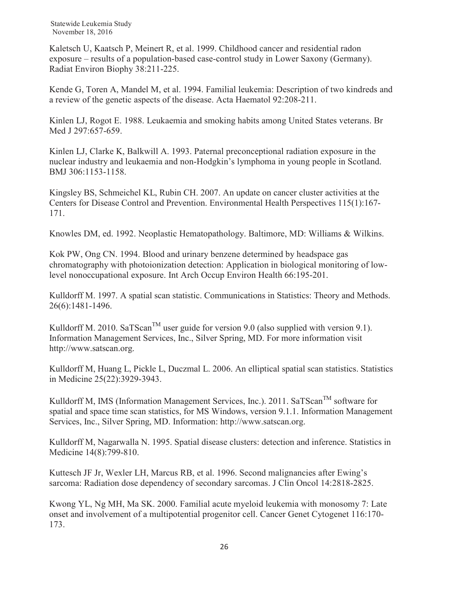Kaletsch U, Kaatsch P, Meinert R, et al. 1999. Childhood cancer and residential radon exposure – results of a population-based case-control study in Lower Saxony (Germany). Radiat Environ Biophy 38:211-225.

Kende G, Toren A, Mandel M, et al. 1994. Familial leukemia: Description of two kindreds and a review of the genetic aspects of the disease. Acta Haematol 92:208-211.

Kinlen LJ, Rogot E. 1988. Leukaemia and smoking habits among United States veterans. Br Med J 297:657-659.

Kinlen LJ, Clarke K, Balkwill A. 1993. Paternal preconceptional radiation exposure in the nuclear industry and leukaemia and non-Hodgkin's lymphoma in young people in Scotland. BMJ 306:1153-1158.

Kingsley BS, Schmeichel KL, Rubin CH. 2007. An update on cancer cluster activities at the Centers for Disease Control and Prevention. Environmental Health Perspectives 115(1):167- 171.

Knowles DM, ed. 1992. Neoplastic Hematopathology. Baltimore, MD: Williams & Wilkins.

Kok PW, Ong CN. 1994. Blood and urinary benzene determined by headspace gas chromatography with photoionization detection: Application in biological monitoring of lowlevel nonoccupational exposure. Int Arch Occup Environ Health 66:195-201.

Kulldorff M. 1997. A spatial scan statistic. Communications in Statistics: Theory and Methods. 26(6):1481-1496.

Kulldorff M. 2010. SaTScan<sup>TM</sup> user guide for version 9.0 (also supplied with version 9.1). Information Management Services, Inc., Silver Spring, MD. For more information visit http://www.satscan.org.

Kulldorff M, Huang L, Pickle L, Duczmal L. 2006. An elliptical spatial scan statistics. Statistics in Medicine 25(22):3929-3943.

Kulldorff M, IMS (Information Management Services, Inc.). 2011. SaTScan<sup>TM</sup> software for spatial and space time scan statistics, for MS Windows, version 9.1.1. Information Management Services, Inc., Silver Spring, MD. Information: http://www.satscan.org.

Kulldorff M, Nagarwalla N. 1995. Spatial disease clusters: detection and inference. Statistics in Medicine 14(8):799-810.

Kuttesch JF Jr, Wexler LH, Marcus RB, et al. 1996. Second malignancies after Ewing's sarcoma: Radiation dose dependency of secondary sarcomas. J Clin Oncol 14:2818-2825.

Kwong YL, Ng MH, Ma SK. 2000. Familial acute myeloid leukemia with monosomy 7: Late onset and involvement of a multipotential progenitor cell. Cancer Genet Cytogenet 116:170- 173.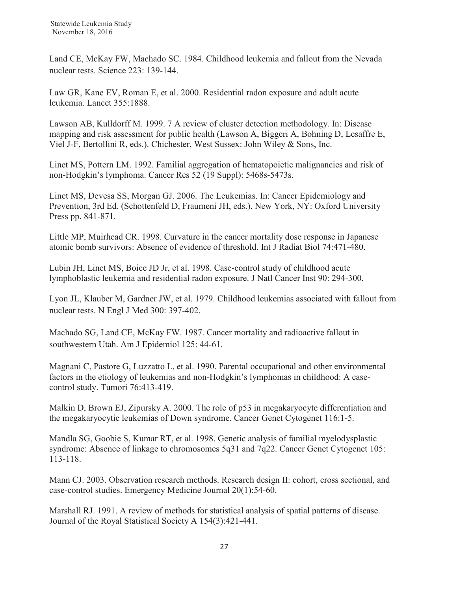Land CE, McKay FW, Machado SC. 1984. Childhood leukemia and fallout from the Nevada nuclear tests. Science 223: 139-144.

Law GR, Kane EV, Roman E, et al. 2000. Residential radon exposure and adult acute leukemia. Lancet 355:1888.

Lawson AB, Kulldorff M. 1999. 7 A review of cluster detection methodology. In: Disease mapping and risk assessment for public health (Lawson A, Biggeri A, Bohning D, Lesaffre E, Viel J-F, Bertollini R, eds.). Chichester, West Sussex: John Wiley & Sons, Inc.

Linet MS, Pottern LM. 1992. Familial aggregation of hematopoietic malignancies and risk of non-Hodgkin's lymphoma. Cancer Res 52 (19 Suppl): 5468s-5473s.

Linet MS, Devesa SS, Morgan GJ. 2006. The Leukemias. In: Cancer Epidemiology and Prevention, 3rd Ed. (Schottenfeld D, Fraumeni JH, eds.). New York, NY: Oxford University Press pp. 841-871.

Little MP, Muirhead CR. 1998. Curvature in the cancer mortality dose response in Japanese atomic bomb survivors: Absence of evidence of threshold. Int J Radiat Biol 74:471-480.

Lubin JH, Linet MS, Boice JD Jr, et al. 1998. Case-control study of childhood acute lymphoblastic leukemia and residential radon exposure. J Natl Cancer Inst 90: 294-300.

Lyon JL, Klauber M, Gardner JW, et al. 1979. Childhood leukemias associated with fallout from nuclear tests. N Engl J Med 300: 397-402.

Machado SG, Land CE, McKay FW. 1987. Cancer mortality and radioactive fallout in southwestern Utah. Am J Epidemiol 125: 44-61.

Magnani C, Pastore G, Luzzatto L, et al. 1990. Parental occupational and other environmental factors in the etiology of leukemias and non-Hodgkin's lymphomas in childhood: A casecontrol study. Tumori 76:413-419.

Malkin D, Brown EJ, Zipursky A. 2000. The role of p53 in megakaryocyte differentiation and the megakaryocytic leukemias of Down syndrome. Cancer Genet Cytogenet 116:1-5.

Mandla SG, Goobie S, Kumar RT, et al. 1998. Genetic analysis of familial myelodysplastic syndrome: Absence of linkage to chromosomes 5q31 and 7q22. Cancer Genet Cytogenet 105: 113-118.

Mann CJ. 2003. Observation research methods. Research design II: cohort, cross sectional, and case-control studies. Emergency Medicine Journal 20(1):54-60.

Marshall RJ. 1991. A review of methods for statistical analysis of spatial patterns of disease. Journal of the Royal Statistical Society A 154(3):421-441.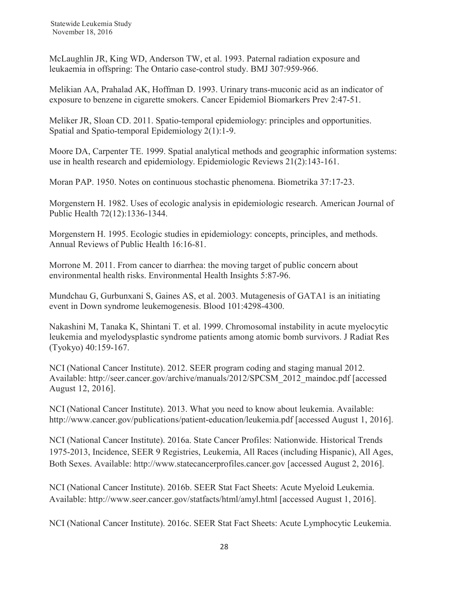McLaughlin JR, King WD, Anderson TW, et al. 1993. Paternal radiation exposure and leukaemia in offspring: The Ontario case-control study. BMJ 307:959-966.

Melikian AA, Prahalad AK, Hoffman D. 1993. Urinary trans-muconic acid as an indicator of exposure to benzene in cigarette smokers. Cancer Epidemiol Biomarkers Prev 2:47-51.

Meliker JR, Sloan CD. 2011. Spatio-temporal epidemiology: principles and opportunities. Spatial and Spatio-temporal Epidemiology 2(1):1-9.

Moore DA, Carpenter TE. 1999. Spatial analytical methods and geographic information systems: use in health research and epidemiology. Epidemiologic Reviews 21(2):143-161.

Moran PAP. 1950. Notes on continuous stochastic phenomena. Biometrika 37:17-23.

Morgenstern H. 1982. Uses of ecologic analysis in epidemiologic research. American Journal of Public Health 72(12):1336-1344.

Morgenstern H. 1995. Ecologic studies in epidemiology: concepts, principles, and methods. Annual Reviews of Public Health 16:16-81.

Morrone M. 2011. From cancer to diarrhea: the moving target of public concern about environmental health risks. Environmental Health Insights 5:87-96.

Mundchau G, Gurbunxani S, Gaines AS, et al. 2003. Mutagenesis of GATA1 is an initiating event in Down syndrome leukemogenesis. Blood 101:4298-4300.

Nakashini M, Tanaka K, Shintani T. et al. 1999. Chromosomal instability in acute myelocytic leukemia and myelodysplastic syndrome patients among atomic bomb survivors. J Radiat Res (Tyokyo) 40:159-167.

NCI (National Cancer Institute). 2012. SEER program coding and staging manual 2012. Available: http://seer.cancer.gov/archive/manuals/2012/SPCSM\_2012\_maindoc.pdf [accessed August 12, 2016].

NCI (National Cancer Institute). 2013. What you need to know about leukemia. Available: http://www.cancer.gov/publications/patient-education/leukemia.pdf [accessed August 1, 2016].

NCI (National Cancer Institute). 2016a. State Cancer Profiles: Nationwide. Historical Trends 1975-2013, Incidence, SEER 9 Registries, Leukemia, All Races (including Hispanic), All Ages, Both Sexes. Available: http://www.statecancerprofiles.cancer.gov [accessed August 2, 2016].

NCI (National Cancer Institute). 2016b. SEER Stat Fact Sheets: Acute Myeloid Leukemia. Available: http://www.seer.cancer.gov/statfacts/html/amyl.html [accessed August 1, 2016].

NCI (National Cancer Institute). 2016c. SEER Stat Fact Sheets: Acute Lymphocytic Leukemia.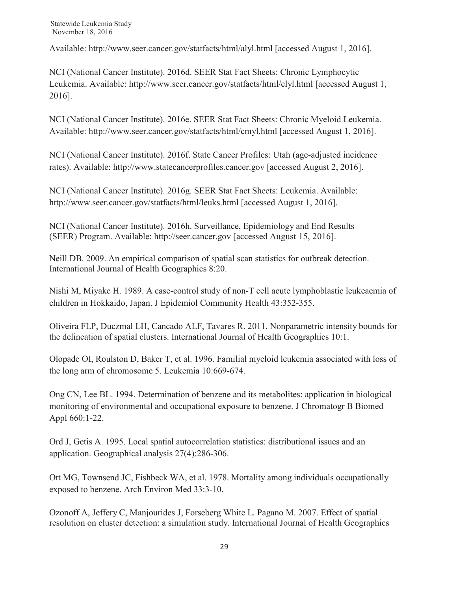Available: http://www.seer.cancer.gov/statfacts/html/alyl.html [accessed August 1, 2016].

NCI (National Cancer Institute). 2016d. SEER Stat Fact Sheets: Chronic Lymphocytic Leukemia. Available: http://www.seer.cancer.gov/statfacts/html/clyl.html [accessed August 1, 2016].

NCI (National Cancer Institute). 2016e. SEER Stat Fact Sheets: Chronic Myeloid Leukemia. Available: http://www.seer.cancer.gov/statfacts/html/cmyl.html [accessed August 1, 2016].

NCI (National Cancer Institute). 2016f. State Cancer Profiles: Utah (age-adjusted incidence rates). Available: http://www.statecancerprofiles.cancer.gov [accessed August 2, 2016].

NCI (National Cancer Institute). 2016g. SEER Stat Fact Sheets: Leukemia. Available: http://www.seer.cancer.gov/statfacts/html/leuks.html [accessed August 1, 2016].

NCI (National Cancer Institute). 2016h. Surveillance, Epidemiology and End Results (SEER) Program. Available: http://seer.cancer.gov [accessed August 15, 2016].

Neill DB. 2009. An empirical comparison of spatial scan statistics for outbreak detection. International Journal of Health Geographics 8:20.

Nishi M, Miyake H. 1989. A case-control study of non-T cell acute lymphoblastic leukeaemia of children in Hokkaido, Japan. J Epidemiol Community Health 43:352-355.

Oliveira FLP, Duczmal LH, Cancado ALF, Tavares R. 2011. Nonparametric intensity bounds for the delineation of spatial clusters. International Journal of Health Geographics 10:1.

Olopade OI, Roulston D, Baker T, et al. 1996. Familial myeloid leukemia associated with loss of the long arm of chromosome 5. Leukemia 10:669-674.

Ong CN, Lee BL. 1994. Determination of benzene and its metabolites: application in biological monitoring of environmental and occupational exposure to benzene. J Chromatogr B Biomed Appl 660:1-22.

Ord J, Getis A. 1995. Local spatial autocorrelation statistics: distributional issues and an application. Geographical analysis 27(4):286-306.

Ott MG, Townsend JC, Fishbeck WA, et al. 1978. Mortality among individuals occupationally exposed to benzene. Arch Environ Med 33:3-10.

Ozonoff A, Jeffery C, Manjourides J, Forseberg White L. Pagano M. 2007. Effect of spatial resolution on cluster detection: a simulation study. International Journal of Health Geographics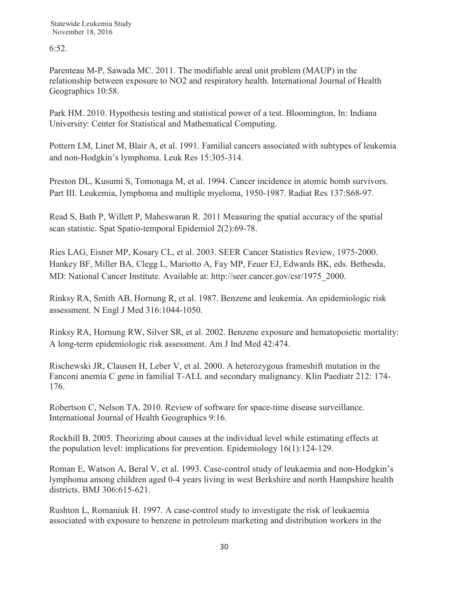6:52.

Parenteau M-P, Sawada MC. 2011. The modifiable areal unit problem (MAUP) in the relationship between exposure to NO2 and respiratory health. International Journal of Health Geographics 10:58.

Park HM. 2010. Hypothesis testing and statistical power of a test. Bloomington, In: Indiana University: Center for Statistical and Mathematical Computing.

Pottern LM, Linet M, Blair A, et al. 1991. Familial cancers associated with subtypes of leukemia and non-Hodgkin's lymphoma. Leuk Res 15:305-314.

Preston DL, Kusumi S, Tomonaga M, et al. 1994. Cancer incidence in atomic bomb survivors. Part III. Leukemia, lymphoma and multiple myeloma, 1950-1987. Radiat Res 137:S68-97.

Read S, Bath P, Willett P, Maheswaran R. 2011 Measuring the spatial accuracy of the spatial scan statistic. Spat Spatio-temporal Epidemiol 2(2):69-78.

Ries LAG, Eisner MP, Kosary CL, et al. 2003. SEER Cancer Statistics Review, 1975-2000. Hankey BF, Miller BA, Clegg L, Mariotto A, Fay MP, Feuer EJ, Edwards BK, eds. Bethesda, MD: National Cancer Institute. Available at: http://seer.cancer.gov/csr/1975\_2000.

Rinksy RA, Smith AB, Hornung R, et al. 1987. Benzene and leukemia. An epidemiologic risk assessment. N Engl J Med 316:1044-1050.

Rinksy RA, Hornung RW, Silver SR, et al. 2002. Benzene exposure and hematopoietic mortality: A long-term epidemiologic risk assessment. Am J Ind Med 42:474.

Rischewski JR, Clausen H, Leber V, et al. 2000. A heterozygous frameshift mutation in the Fanconi anemia C gene in familial T-ALL and secondary malignancy. Klin Paediatr 212: 174- 176.

Robertson C, Nelson TA. 2010. Review of software for space-time disease surveillance. International Journal of Health Geographics 9:16.

Rockhill B. 2005. Theorizing about causes at the individual level while estimating effects at the population level: implications for prevention. Epidemiology 16(1):124-129.

Roman E, Watson A, Beral V, et al. 1993. Case-control study of leukaemia and non-Hodgkin's lymphoma among children aged 0-4 years living in west Berkshire and north Hampshire health districts. BMJ 306:615-621.

Rushton L, Romaniuk H. 1997. A case-control study to investigate the risk of leukaemia associated with exposure to benzene in petroleum marketing and distribution workers in the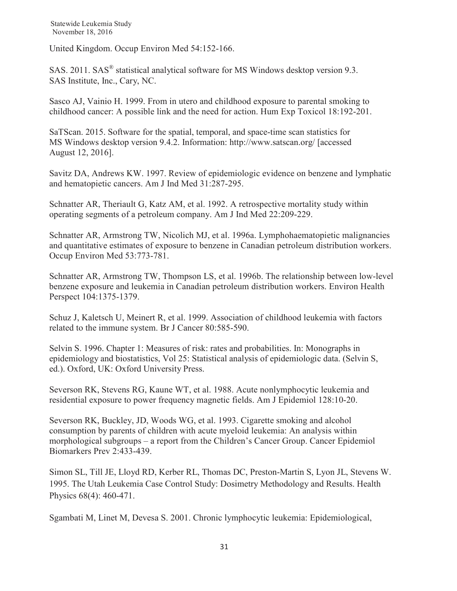United Kingdom. Occup Environ Med 54:152-166.

SAS. 2011. SAS<sup>®</sup> statistical analytical software for MS Windows desktop version 9.3. SAS Institute, Inc., Cary, NC.

Sasco AJ, Vainio H. 1999. From in utero and childhood exposure to parental smoking to childhood cancer: A possible link and the need for action. Hum Exp Toxicol 18:192-201.

SaTScan. 2015. Software for the spatial, temporal, and space-time scan statistics for MS Windows desktop version 9.4.2. Information: http://www.satscan.org/ [accessed August 12, 2016].

Savitz DA, Andrews KW. 1997. Review of epidemiologic evidence on benzene and lymphatic and hematopietic cancers. Am J Ind Med 31:287-295.

Schnatter AR, Theriault G, Katz AM, et al. 1992. A retrospective mortality study within operating segments of a petroleum company. Am J Ind Med 22:209-229.

Schnatter AR, Armstrong TW, Nicolich MJ, et al. 1996a. Lymphohaematopietic malignancies and quantitative estimates of exposure to benzene in Canadian petroleum distribution workers. Occup Environ Med 53:773-781.

Schnatter AR, Armstrong TW, Thompson LS, et al. 1996b. The relationship between low-level benzene exposure and leukemia in Canadian petroleum distribution workers. Environ Health Perspect 104:1375-1379.

Schuz J, Kaletsch U, Meinert R, et al. 1999. Association of childhood leukemia with factors related to the immune system. Br J Cancer 80:585-590.

Selvin S. 1996. Chapter 1: Measures of risk: rates and probabilities. In: Monographs in epidemiology and biostatistics, Vol 25: Statistical analysis of epidemiologic data. (Selvin S, ed.). Oxford, UK: Oxford University Press.

Severson RK, Stevens RG, Kaune WT, et al. 1988. Acute nonlymphocytic leukemia and residential exposure to power frequency magnetic fields. Am J Epidemiol 128:10-20.

Severson RK, Buckley, JD, Woods WG, et al. 1993. Cigarette smoking and alcohol consumption by parents of children with acute myeloid leukemia: An analysis within morphological subgroups – a report from the Children's Cancer Group. Cancer Epidemiol Biomarkers Prev 2:433-439.

Simon SL, Till JE, Lloyd RD, Kerber RL, Thomas DC, Preston-Martin S, Lyon JL, Stevens W. 1995. The Utah Leukemia Case Control Study: Dosimetry Methodology and Results. Health Physics 68(4): 460-471.

Sgambati M, Linet M, Devesa S. 2001. Chronic lymphocytic leukemia: Epidemiological,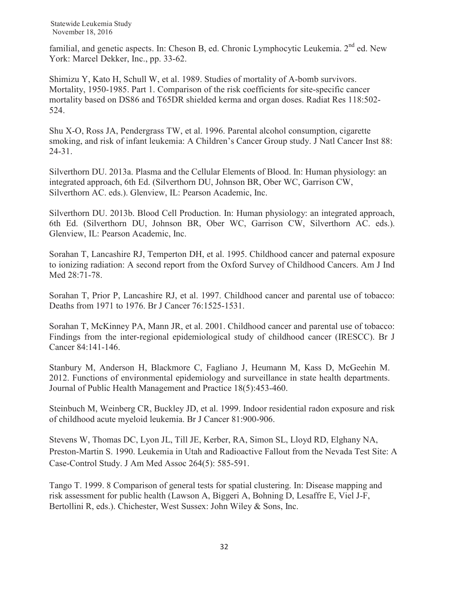familial, and genetic aspects. In: Cheson B, ed. Chronic Lymphocytic Leukemia.  $2<sup>nd</sup>$  ed. New York: Marcel Dekker, Inc., pp. 33-62.

Shimizu Y, Kato H, Schull W, et al. 1989. Studies of mortality of A-bomb survivors. Mortality, 1950-1985. Part 1. Comparison of the risk coefficients for site-specific cancer mortality based on DS86 and T65DR shielded kerma and organ doses. Radiat Res 118:502- 524.

Shu X-O, Ross JA, Pendergrass TW, et al. 1996. Parental alcohol consumption, cigarette smoking, and risk of infant leukemia: A Children's Cancer Group study. J Natl Cancer Inst 88: 24-31.

Silverthorn DU. 2013a. Plasma and the Cellular Elements of Blood. In: Human physiology: an integrated approach, 6th Ed. (Silverthorn DU, Johnson BR, Ober WC, Garrison CW, Silverthorn AC. eds.). Glenview, IL: Pearson Academic, Inc.

Silverthorn DU. 2013b. Blood Cell Production. In: Human physiology: an integrated approach, 6th Ed. (Silverthorn DU, Johnson BR, Ober WC, Garrison CW, Silverthorn AC. eds.). Glenview, IL: Pearson Academic, Inc.

Sorahan T, Lancashire RJ, Temperton DH, et al. 1995. Childhood cancer and paternal exposure to ionizing radiation: A second report from the Oxford Survey of Childhood Cancers. Am J Ind Med 28:71-78.

Sorahan T, Prior P, Lancashire RJ, et al. 1997. Childhood cancer and parental use of tobacco: Deaths from 1971 to 1976. Br J Cancer 76:1525-1531.

Sorahan T, McKinney PA, Mann JR, et al. 2001. Childhood cancer and parental use of tobacco: Findings from the inter-regional epidemiological study of childhood cancer (IRESCC). Br J Cancer 84:141-146.

Stanbury M, Anderson H, Blackmore C, Fagliano J, Heumann M, Kass D, McGeehin M. 2012. Functions of environmental epidemiology and surveillance in state health departments. Journal of Public Health Management and Practice 18(5):453-460.

Steinbuch M, Weinberg CR, Buckley JD, et al. 1999. Indoor residential radon exposure and risk of childhood acute myeloid leukemia. Br J Cancer 81:900-906.

Stevens W, Thomas DC, Lyon JL, Till JE, Kerber, RA, Simon SL, Lloyd RD, Elghany NA, Preston-Martin S. 1990. Leukemia in Utah and Radioactive Fallout from the Nevada Test Site: A Case-Control Study. J Am Med Assoc 264(5): 585-591.

Tango T. 1999. 8 Comparison of general tests for spatial clustering. In: Disease mapping and risk assessment for public health (Lawson A, Biggeri A, Bohning D, Lesaffre E, Viel J-F, Bertollini R, eds.). Chichester, West Sussex: John Wiley & Sons, Inc.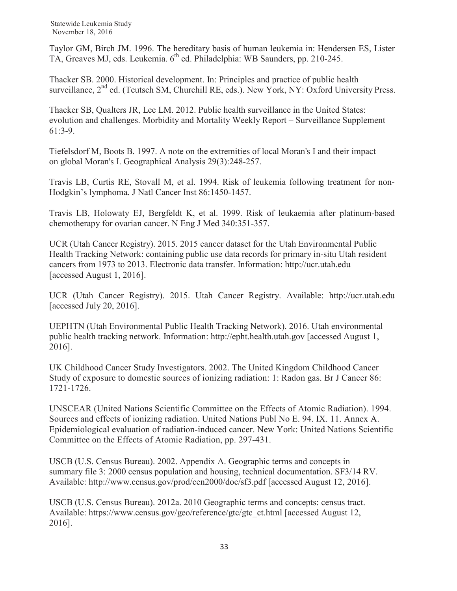Taylor GM, Birch JM. 1996. The hereditary basis of human leukemia in: Hendersen ES, Lister TA, Greaves MJ, eds. Leukemia. 6<sup>th</sup> ed. Philadelphia: WB Saunders, pp. 210-245.

Thacker SB. 2000. Historical development. In: Principles and practice of public health surveillance,  $2<sup>nd</sup>$  ed. (Teutsch SM, Churchill RE, eds.). New York, NY: Oxford University Press.

Thacker SB, Qualters JR, Lee LM. 2012. Public health surveillance in the United States: evolution and challenges. Morbidity and Mortality Weekly Report – Surveillance Supplement 61:3-9.

Tiefelsdorf M, Boots B. 1997. A note on the extremities of local Moran's I and their impact on global Moran's I. Geographical Analysis 29(3):248-257.

Travis LB, Curtis RE, Stovall M, et al. 1994. Risk of leukemia following treatment for non-Hodgkin's lymphoma. J Natl Cancer Inst 86:1450-1457.

Travis LB, Holowaty EJ, Bergfeldt K, et al. 1999. Risk of leukaemia after platinum-based chemotherapy for ovarian cancer. N Eng J Med 340:351-357.

UCR (Utah Cancer Registry). 2015. 2015 cancer dataset for the Utah Environmental Public Health Tracking Network: containing public use data records for primary in-situ Utah resident cancers from 1973 to 2013. Electronic data transfer. Information: http://ucr.utah.edu [accessed August 1, 2016].

UCR (Utah Cancer Registry). 2015. Utah Cancer Registry. Available: http://ucr.utah.edu [accessed July 20, 2016].

UEPHTN (Utah Environmental Public Health Tracking Network). 2016. Utah environmental public health tracking network. Information: http://epht.health.utah.gov [accessed August 1, 2016].

UK Childhood Cancer Study Investigators. 2002. The United Kingdom Childhood Cancer Study of exposure to domestic sources of ionizing radiation: 1: Radon gas. Br J Cancer 86: 1721-1726.

UNSCEAR (United Nations Scientific Committee on the Effects of Atomic Radiation). 1994. Sources and effects of ionizing radiation. United Nations Publ No E. 94. IX. 11. Annex A. Epidemiological evaluation of radiation-induced cancer. New York: United Nations Scientific Committee on the Effects of Atomic Radiation, pp. 297-431.

USCB (U.S. Census Bureau). 2002. Appendix A. Geographic terms and concepts in summary file 3: 2000 census population and housing, technical documentation. SF3/14 RV. Available: http://www.census.gov/prod/cen2000/doc/sf3.pdf [accessed August 12, 2016].

USCB (U.S. Census Bureau). 2012a. 2010 Geographic terms and concepts: census tract. Available: https://www.census.gov/geo/reference/gtc/gtc\_ct.html [accessed August 12, 2016].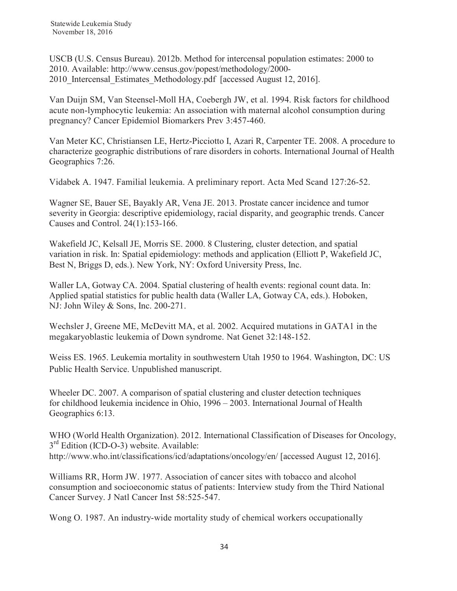USCB (U.S. Census Bureau). 2012b. Method for intercensal population estimates: 2000 to 2010. Available: http://www.census.gov/popest/methodology/2000- 2010 Intercensal Estimates Methodology.pdf [accessed August 12, 2016].

Van Duijn SM, Van Steensel-Moll HA, Coebergh JW, et al. 1994. Risk factors for childhood acute non-lymphocytic leukemia: An association with maternal alcohol consumption during pregnancy? Cancer Epidemiol Biomarkers Prev 3:457-460.

Van Meter KC, Christiansen LE, Hertz-Picciotto I, Azari R, Carpenter TE. 2008. A procedure to characterize geographic distributions of rare disorders in cohorts. International Journal of Health Geographics 7:26.

Vidabek A. 1947. Familial leukemia. A preliminary report. Acta Med Scand 127:26-52.

Wagner SE, Bauer SE, Bayakly AR, Vena JE. 2013. Prostate cancer incidence and tumor severity in Georgia: descriptive epidemiology, racial disparity, and geographic trends. Cancer Causes and Control. 24(1):153-166.

Wakefield JC, Kelsall JE, Morris SE. 2000. 8 Clustering, cluster detection, and spatial variation in risk. In: Spatial epidemiology: methods and application (Elliott P, Wakefield JC, Best N, Briggs D, eds.). New York, NY: Oxford University Press, Inc.

Waller LA, Gotway CA. 2004. Spatial clustering of health events: regional count data. In: Applied spatial statistics for public health data (Waller LA, Gotway CA, eds.). Hoboken, NJ: John Wiley & Sons, Inc. 200-271.

Wechsler J, Greene ME, McDevitt MA, et al. 2002. Acquired mutations in GATA1 in the megakaryoblastic leukemia of Down syndrome. Nat Genet 32:148-152.

Weiss ES. 1965. Leukemia mortality in southwestern Utah 1950 to 1964. Washington, DC: US Public Health Service. Unpublished manuscript.

Wheeler DC. 2007. A comparison of spatial clustering and cluster detection techniques for childhood leukemia incidence in Ohio, 1996 – 2003. International Journal of Health Geographics 6:13.

WHO (World Health Organization). 2012. International Classification of Diseases for Oncology, 3<sup>rd</sup> Edition (ICD-O-3) website. Available: http://www.who.int/classifications/icd/adaptations/oncology/en/ [accessed August 12, 2016].

Williams RR, Horm JW. 1977. Association of cancer sites with tobacco and alcohol consumption and socioeconomic status of patients: Interview study from the Third National Cancer Survey. J Natl Cancer Inst 58:525-547.

Wong O. 1987. An industry-wide mortality study of chemical workers occupationally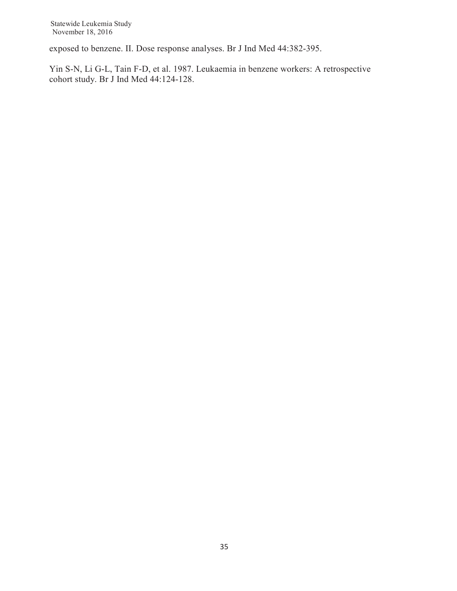exposed to benzene. II. Dose response analyses. Br J Ind Med 44:382-395.

Yin S-N, Li G-L, Tain F-D, et al. 1987. Leukaemia in benzene workers: A retrospective cohort study. Br J Ind Med 44:124-128.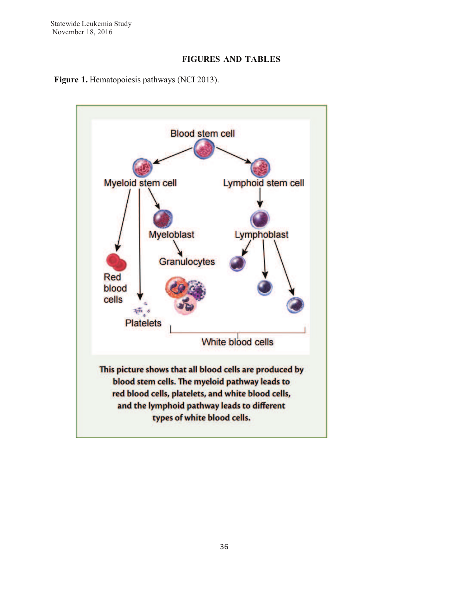## **FIGURES AND TABLES**



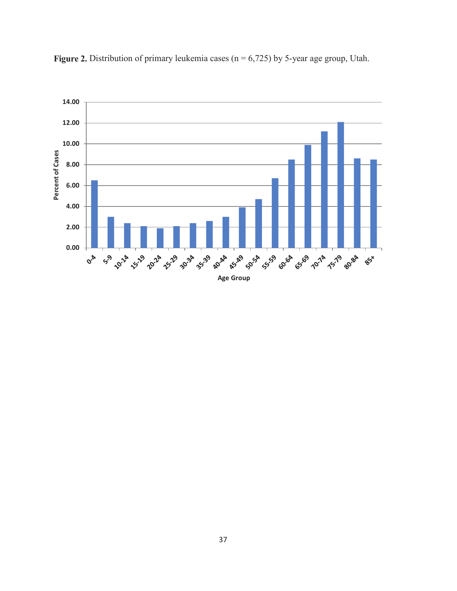

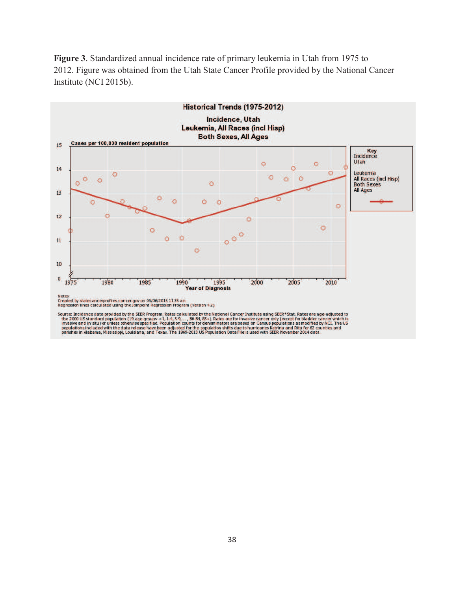**Figure 3**. Standardized annual incidence rate of primary leukemia in Utah from 1975 to 2012. Figure was obtained from the Utah State Cancer Profile provided by the National Cancer Institute (NCI 2015b).

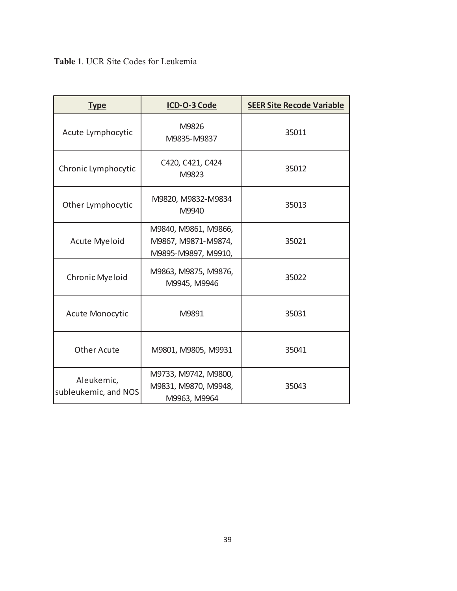| <b>Type</b>                        | ICD-O-3 Code                                                       | <b>SEER Site Recode Variable</b> |
|------------------------------------|--------------------------------------------------------------------|----------------------------------|
| Acute Lymphocytic                  | M9826<br>M9835-M9837                                               | 35011                            |
| Chronic Lymphocytic                | C420, C421, C424<br>M9823                                          | 35012                            |
| Other Lymphocytic                  | M9820, M9832-M9834<br>M9940                                        | 35013                            |
| <b>Acute Myeloid</b>               | M9840, M9861, M9866,<br>M9867, M9871-M9874,<br>M9895-M9897, M9910, | 35021                            |
| Chronic Myeloid                    | M9863, M9875, M9876,<br>M9945, M9946                               | 35022                            |
| Acute Monocytic                    | M9891                                                              | 35031                            |
| <b>Other Acute</b>                 | M9801, M9805, M9931                                                | 35041                            |
| Aleukemic,<br>subleukemic, and NOS | M9733, M9742, M9800,<br>M9831, M9870, M9948,<br>M9963, M9964       | 35043                            |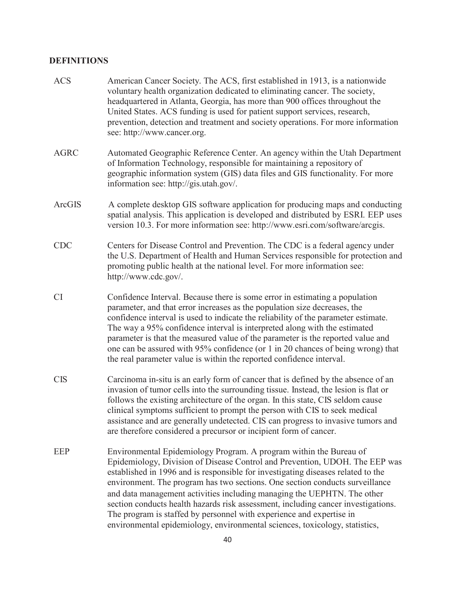## **DEFINITIONS**

| <b>ACS</b>  | American Cancer Society. The ACS, first established in 1913, is a nationwide<br>voluntary health organization dedicated to eliminating cancer. The society,<br>headquartered in Atlanta, Georgia, has more than 900 offices throughout the<br>United States. ACS funding is used for patient support services, research,<br>prevention, detection and treatment and society operations. For more information<br>see: http://www.cancer.org.                                                                                                                                                                                                  |
|-------------|----------------------------------------------------------------------------------------------------------------------------------------------------------------------------------------------------------------------------------------------------------------------------------------------------------------------------------------------------------------------------------------------------------------------------------------------------------------------------------------------------------------------------------------------------------------------------------------------------------------------------------------------|
| <b>AGRC</b> | Automated Geographic Reference Center. An agency within the Utah Department<br>of Information Technology, responsible for maintaining a repository of<br>geographic information system (GIS) data files and GIS functionality. For more<br>information see: http://gis.utah.gov/.                                                                                                                                                                                                                                                                                                                                                            |
| ArcGIS      | A complete desktop GIS software application for producing maps and conducting<br>spatial analysis. This application is developed and distributed by ESRI. EEP uses<br>version 10.3. For more information see: http://www.esri.com/software/arcgis.                                                                                                                                                                                                                                                                                                                                                                                           |
| <b>CDC</b>  | Centers for Disease Control and Prevention. The CDC is a federal agency under<br>the U.S. Department of Health and Human Services responsible for protection and<br>promoting public health at the national level. For more information see:<br>http://www.cdc.gov/.                                                                                                                                                                                                                                                                                                                                                                         |
| <b>CI</b>   | Confidence Interval. Because there is some error in estimating a population<br>parameter, and that error increases as the population size decreases, the<br>confidence interval is used to indicate the reliability of the parameter estimate.<br>The way a 95% confidence interval is interpreted along with the estimated<br>parameter is that the measured value of the parameter is the reported value and<br>one can be assured with 95% confidence (or 1 in 20 chances of being wrong) that<br>the real parameter value is within the reported confidence interval.                                                                    |
| <b>CIS</b>  | Carcinoma in-situ is an early form of cancer that is defined by the absence of an<br>invasion of tumor cells into the surrounding tissue. Instead, the lesion is flat or<br>follows the existing architecture of the organ. In this state, CIS seldom cause<br>clinical symptoms sufficient to prompt the person with CIS to seek medical<br>assistance and are generally undetected. CIS can progress to invasive tumors and<br>are therefore considered a precursor or incipient form of cancer.                                                                                                                                           |
| <b>EEP</b>  | Environmental Epidemiology Program. A program within the Bureau of<br>Epidemiology, Division of Disease Control and Prevention, UDOH. The EEP was<br>established in 1996 and is responsible for investigating diseases related to the<br>environment. The program has two sections. One section conducts surveillance<br>and data management activities including managing the UEPHTN. The other<br>section conducts health hazards risk assessment, including cancer investigations.<br>The program is staffed by personnel with experience and expertise in<br>environmental epidemiology, environmental sciences, toxicology, statistics, |
|             | 40                                                                                                                                                                                                                                                                                                                                                                                                                                                                                                                                                                                                                                           |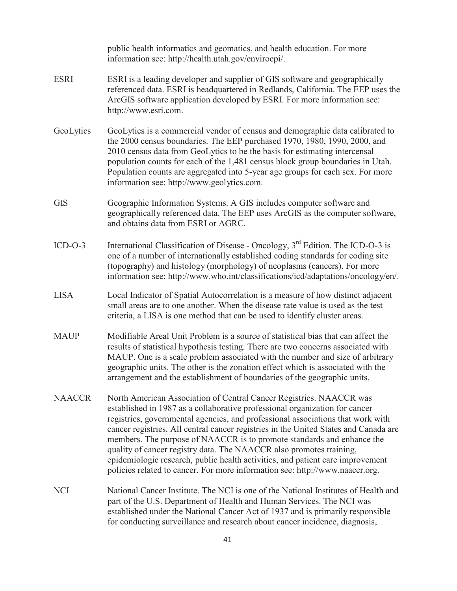|               | public health informatics and geomatics, and health education. For more<br>information see: http://health.utah.gov/enviroepi/.                                                                                                                                                                                                                                                                                                                                                                                                                                                                                                                   |
|---------------|--------------------------------------------------------------------------------------------------------------------------------------------------------------------------------------------------------------------------------------------------------------------------------------------------------------------------------------------------------------------------------------------------------------------------------------------------------------------------------------------------------------------------------------------------------------------------------------------------------------------------------------------------|
| <b>ESRI</b>   | ESRI is a leading developer and supplier of GIS software and geographically<br>referenced data. ESRI is headquartered in Redlands, California. The EEP uses the<br>ArcGIS software application developed by ESRI. For more information see:<br>http://www.esri.com.                                                                                                                                                                                                                                                                                                                                                                              |
| GeoLytics     | GeoLytics is a commercial vendor of census and demographic data calibrated to<br>the 2000 census boundaries. The EEP purchased 1970, 1980, 1990, 2000, and<br>2010 census data from GeoLytics to be the basis for estimating intercensal<br>population counts for each of the 1,481 census block group boundaries in Utah.<br>Population counts are aggregated into 5-year age groups for each sex. For more<br>information see: http://www.geolytics.com.                                                                                                                                                                                       |
| <b>GIS</b>    | Geographic Information Systems. A GIS includes computer software and<br>geographically referenced data. The EEP uses ArcGIS as the computer software,<br>and obtains data from ESRI or AGRC.                                                                                                                                                                                                                                                                                                                                                                                                                                                     |
| $ICD-O-3$     | International Classification of Disease - Oncology, 3 <sup>rd</sup> Edition. The ICD-O-3 is<br>one of a number of internationally established coding standards for coding site<br>(topography) and histology (morphology) of neoplasms (cancers). For more<br>information see: http://www.who.int/classifications/icd/adaptations/oncology/en/.                                                                                                                                                                                                                                                                                                  |
| <b>LISA</b>   | Local Indicator of Spatial Autocorrelation is a measure of how distinct adjacent<br>small areas are to one another. When the disease rate value is used as the test<br>criteria, a LISA is one method that can be used to identify cluster areas.                                                                                                                                                                                                                                                                                                                                                                                                |
| <b>MAUP</b>   | Modifiable Areal Unit Problem is a source of statistical bias that can affect the<br>results of statistical hypothesis testing. There are two concerns associated with<br>MAUP. One is a scale problem associated with the number and size of arbitrary<br>geographic units. The other is the zonation effect which is associated with the<br>arrangement and the establishment of boundaries of the geographic units.                                                                                                                                                                                                                           |
| <b>NAACCR</b> | North American Association of Central Cancer Registries. NAACCR was<br>established in 1987 as a collaborative professional organization for cancer<br>registries, governmental agencies, and professional associations that work with<br>cancer registries. All central cancer registries in the United States and Canada are<br>members. The purpose of NAACCR is to promote standards and enhance the<br>quality of cancer registry data. The NAACCR also promotes training,<br>epidemiologic research, public health activities, and patient care improvement<br>policies related to cancer. For more information see: http://www.naaccr.org. |
| <b>NCI</b>    | National Cancer Institute. The NCI is one of the National Institutes of Health and<br>part of the U.S. Department of Health and Human Services. The NCI was<br>established under the National Cancer Act of 1937 and is primarily responsible<br>for conducting surveillance and research about cancer incidence, diagnosis,                                                                                                                                                                                                                                                                                                                     |
|               |                                                                                                                                                                                                                                                                                                                                                                                                                                                                                                                                                                                                                                                  |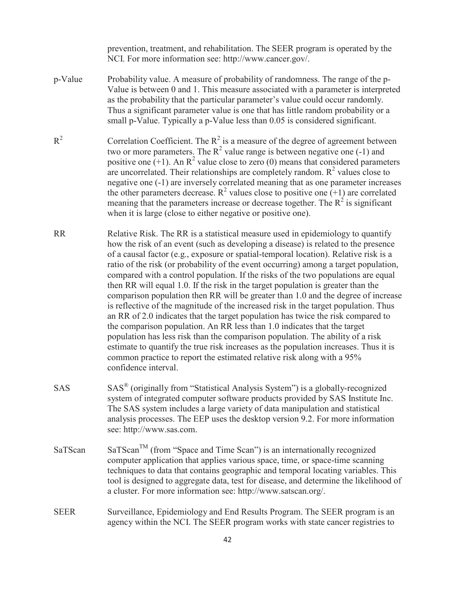prevention, treatment, and rehabilitation. The SEER program is operated by the NCI. For more information see: http://www.cancer.gov/.

- p-Value Probability value. A measure of probability of randomness. The range of the p-Value is between 0 and 1. This measure associated with a parameter is interpreted as the probability that the particular parameter's value could occur randomly. Thus a significant parameter value is one that has little random probability or a small p-Value. Typically a p-Value less than 0.05 is considered significant.
- $R^2$ <sup>2</sup> Correlation Coefficient. The  $R^2$  is a measure of the degree of agreement between two or more parameters. The  $R^2$  value range is between negative one (-1) and positive one  $(+1)$ . An R<sup>2</sup> value close to zero (0) means that considered parameters are uncorrelated. Their relationships are completely random.  $R^2$  values close to negative one (-1) are inversely correlated meaning that as one parameter increases the other parameters decrease.  $R^2$  values close to positive one (+1) are correlated meaning that the parameters increase or decrease together. The  $R^2$  is significant when it is large (close to either negative or positive one).
- RR Relative Risk. The RR is a statistical measure used in epidemiology to quantify how the risk of an event (such as developing a disease) is related to the presence of a causal factor (e.g., exposure or spatial-temporal location). Relative risk is a ratio of the risk (or probability of the event occurring) among a target population, compared with a control population. If the risks of the two populations are equal then RR will equal 1.0. If the risk in the target population is greater than the comparison population then RR will be greater than 1.0 and the degree of increase is reflective of the magnitude of the increased risk in the target population. Thus an RR of 2.0 indicates that the target population has twice the risk compared to the comparison population. An RR less than 1.0 indicates that the target population has less risk than the comparison population. The ability of a risk estimate to quantify the true risk increases as the population increases. Thus it is common practice to report the estimated relative risk along with a 95% confidence interval.
- SAS SAS® (originally from "Statistical Analysis System") is a globally-recognized system of integrated computer software products provided by SAS Institute Inc. The SAS system includes a large variety of data manipulation and statistical analysis processes. The EEP uses the desktop version 9.2. For more information see: http://www.sas.com.
- $SaTScan$  SaTScan<sup>TM</sup> (from "Space and Time Scan") is an internationally recognized computer application that applies various space, time, or space-time scanning techniques to data that contains geographic and temporal locating variables. This tool is designed to aggregate data, test for disease, and determine the likelihood of a cluster. For more information see: http://www.satscan.org/.
- SEER Surveillance, Epidemiology and End Results Program. The SEER program is an agency within the NCI. The SEER program works with state cancer registries to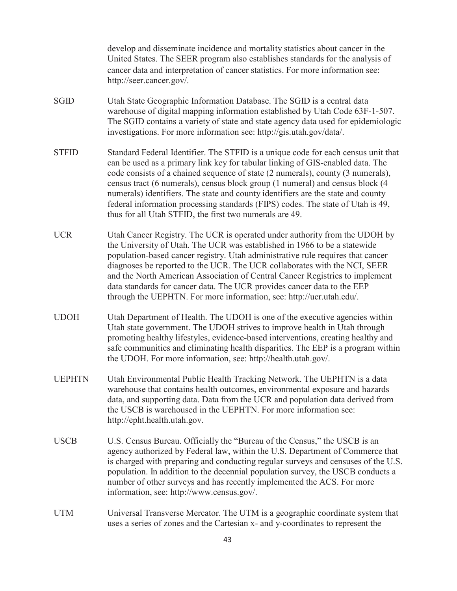|               | develop and disseminate incidence and mortality statistics about cancer in the<br>United States. The SEER program also establishes standards for the analysis of<br>cancer data and interpretation of cancer statistics. For more information see:<br>http://seer.cancer.gov/.                                                                                                                                                                                                                                                                                            |
|---------------|---------------------------------------------------------------------------------------------------------------------------------------------------------------------------------------------------------------------------------------------------------------------------------------------------------------------------------------------------------------------------------------------------------------------------------------------------------------------------------------------------------------------------------------------------------------------------|
| <b>SGID</b>   | Utah State Geographic Information Database. The SGID is a central data<br>warehouse of digital mapping information established by Utah Code 63F-1-507.<br>The SGID contains a variety of state and state agency data used for epidemiologic<br>investigations. For more information see: http://gis.utah.gov/data/.                                                                                                                                                                                                                                                       |
| <b>STFID</b>  | Standard Federal Identifier. The STFID is a unique code for each census unit that<br>can be used as a primary link key for tabular linking of GIS-enabled data. The<br>code consists of a chained sequence of state (2 numerals), county (3 numerals),<br>census tract (6 numerals), census block group (1 numeral) and census block (4<br>numerals) identifiers. The state and county identifiers are the state and county<br>federal information processing standards (FIPS) codes. The state of Utah is 49,<br>thus for all Utah STFID, the first two numerals are 49. |
| <b>UCR</b>    | Utah Cancer Registry. The UCR is operated under authority from the UDOH by<br>the University of Utah. The UCR was established in 1966 to be a statewide<br>population-based cancer registry. Utah administrative rule requires that cancer<br>diagnoses be reported to the UCR. The UCR collaborates with the NCI, SEER<br>and the North American Association of Central Cancer Registries to implement<br>data standards for cancer data. The UCR provides cancer data to the EEP<br>through the UEPHTN. For more information, see: http://ucr.utah.edu/.                |
| <b>UDOH</b>   | Utah Department of Health. The UDOH is one of the executive agencies within<br>Utah state government. The UDOH strives to improve health in Utah through<br>promoting healthy lifestyles, evidence-based interventions, creating healthy and<br>safe communities and eliminating health disparities. The EEP is a program within<br>the UDOH. For more information, see: http://health.utah.gov/.                                                                                                                                                                         |
| <b>UEPHTN</b> | Utah Environmental Public Health Tracking Network. The UEPHTN is a data<br>warehouse that contains health outcomes, environmental exposure and hazards<br>data, and supporting data. Data from the UCR and population data derived from<br>the USCB is warehoused in the UEPHTN. For more information see:<br>http://epht.health.utah.gov.                                                                                                                                                                                                                                |
| <b>USCB</b>   | U.S. Census Bureau. Officially the "Bureau of the Census," the USCB is an<br>agency authorized by Federal law, within the U.S. Department of Commerce that<br>is charged with preparing and conducting regular surveys and censuses of the U.S.<br>population. In addition to the decennial population survey, the USCB conducts a<br>number of other surveys and has recently implemented the ACS. For more<br>information, see: http://www.census.gov/.                                                                                                                 |
| <b>UTM</b>    | Universal Transverse Mercator. The UTM is a geographic coordinate system that<br>uses a series of zones and the Cartesian x- and y-coordinates to represent the                                                                                                                                                                                                                                                                                                                                                                                                           |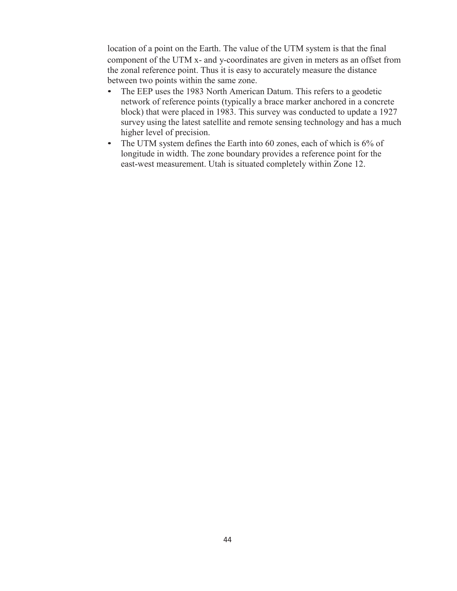location of a point on the Earth. The value of the UTM system is that the final component of the UTM x- and y-coordinates are given in meters as an offset from the zonal reference point. Thus it is easy to accurately measure the distance between two points within the same zone.

- The EEP uses the 1983 North American Datum. This refers to a geodetic network of reference points (typically a brace marker anchored in a concrete block) that were placed in 1983. This survey was conducted to update a 1927 survey using the latest satellite and remote sensing technology and has a much higher level of precision.
- The UTM system defines the Earth into 60 zones, each of which is 6% of longitude in width. The zone boundary provides a reference point for the east-west measurement. Utah is situated completely within Zone 12.